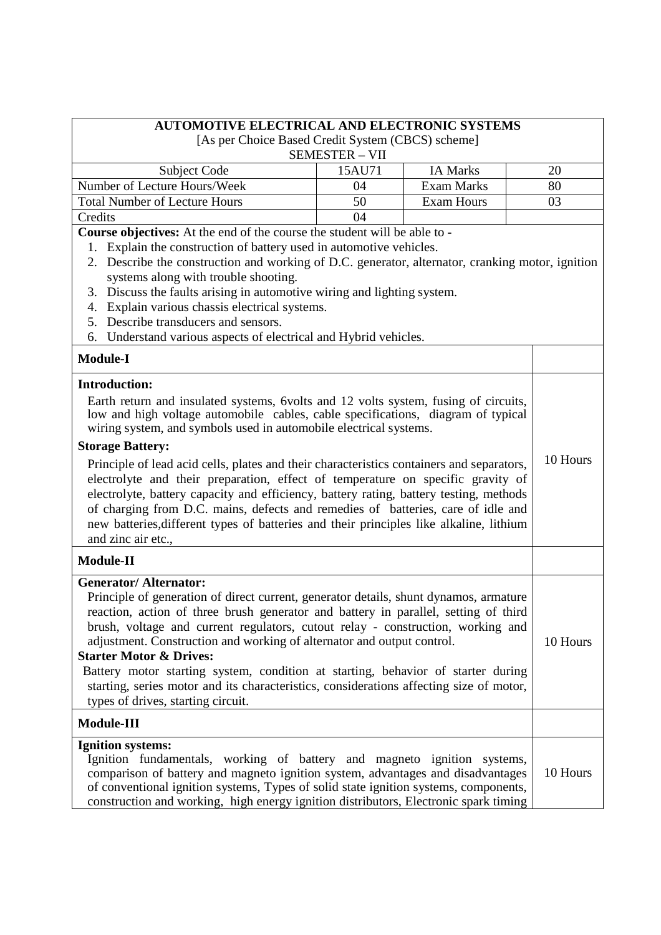| <b>AUTOMOTIVE ELECTRICAL AND ELECTRONIC SYSTEMS</b>                                                                                                                         |                       |                   |  |          |
|-----------------------------------------------------------------------------------------------------------------------------------------------------------------------------|-----------------------|-------------------|--|----------|
| [As per Choice Based Credit System (CBCS) scheme]                                                                                                                           |                       |                   |  |          |
|                                                                                                                                                                             | <b>SEMESTER - VII</b> |                   |  |          |
| <b>Subject Code</b>                                                                                                                                                         | 15AU71                | <b>IA Marks</b>   |  | 20       |
| Number of Lecture Hours/Week                                                                                                                                                | 04                    | <b>Exam Marks</b> |  | 80       |
| <b>Total Number of Lecture Hours</b>                                                                                                                                        | 50                    | <b>Exam Hours</b> |  | 03       |
| Credits                                                                                                                                                                     | 04                    |                   |  |          |
| <b>Course objectives:</b> At the end of the course the student will be able to -                                                                                            |                       |                   |  |          |
| Explain the construction of battery used in automotive vehicles.<br>1.                                                                                                      |                       |                   |  |          |
| 2. Describe the construction and working of D.C. generator, alternator, cranking motor, ignition                                                                            |                       |                   |  |          |
| systems along with trouble shooting.                                                                                                                                        |                       |                   |  |          |
| 3. Discuss the faults arising in automotive wiring and lighting system.                                                                                                     |                       |                   |  |          |
| Explain various chassis electrical systems.<br>4.                                                                                                                           |                       |                   |  |          |
| Describe transducers and sensors.<br>5.                                                                                                                                     |                       |                   |  |          |
| Understand various aspects of electrical and Hybrid vehicles.<br>6.                                                                                                         |                       |                   |  |          |
| <b>Module-I</b>                                                                                                                                                             |                       |                   |  |          |
| <b>Introduction:</b>                                                                                                                                                        |                       |                   |  |          |
| Earth return and insulated systems, 6volts and 12 volts system, fusing of circuits,                                                                                         |                       |                   |  |          |
| low and high voltage automobile cables, cable specifications, diagram of typical                                                                                            |                       |                   |  |          |
| wiring system, and symbols used in automobile electrical systems.                                                                                                           |                       |                   |  |          |
| <b>Storage Battery:</b>                                                                                                                                                     |                       |                   |  |          |
|                                                                                                                                                                             |                       |                   |  | 10 Hours |
| Principle of lead acid cells, plates and their characteristics containers and separators,                                                                                   |                       |                   |  |          |
| electrolyte and their preparation, effect of temperature on specific gravity of                                                                                             |                       |                   |  |          |
| electrolyte, battery capacity and efficiency, battery rating, battery testing, methods                                                                                      |                       |                   |  |          |
| of charging from D.C. mains, defects and remedies of batteries, care of idle and<br>new batteries, different types of batteries and their principles like alkaline, lithium |                       |                   |  |          |
|                                                                                                                                                                             |                       |                   |  |          |
| and zinc air etc.,                                                                                                                                                          |                       |                   |  |          |
| <b>Module-II</b>                                                                                                                                                            |                       |                   |  |          |
| <b>Generator/Alternator:</b>                                                                                                                                                |                       |                   |  |          |
| Principle of generation of direct current, generator details, shunt dynamos, armature                                                                                       |                       |                   |  |          |
| reaction, action of three brush generator and battery in parallel, setting of third                                                                                         |                       |                   |  |          |
| brush, voltage and current regulators, cutout relay - construction, working and                                                                                             |                       |                   |  |          |
| adjustment. Construction and working of alternator and output control.                                                                                                      |                       |                   |  | 10 Hours |
| <b>Starter Motor &amp; Drives:</b>                                                                                                                                          |                       |                   |  |          |
| Battery motor starting system, condition at starting, behavior of starter during                                                                                            |                       |                   |  |          |
| starting, series motor and its characteristics, considerations affecting size of motor,                                                                                     |                       |                   |  |          |
| types of drives, starting circuit.                                                                                                                                          |                       |                   |  |          |
| Module-III                                                                                                                                                                  |                       |                   |  |          |
| <b>Ignition systems:</b>                                                                                                                                                    |                       |                   |  |          |
| Ignition fundamentals, working of battery and magneto ignition systems,                                                                                                     |                       |                   |  |          |
| comparison of battery and magneto ignition system, advantages and disadvantages                                                                                             |                       |                   |  | 10 Hours |
| of conventional ignition systems, Types of solid state ignition systems, components,                                                                                        |                       |                   |  |          |
| construction and working, high energy ignition distributors, Electronic spark timing                                                                                        |                       |                   |  |          |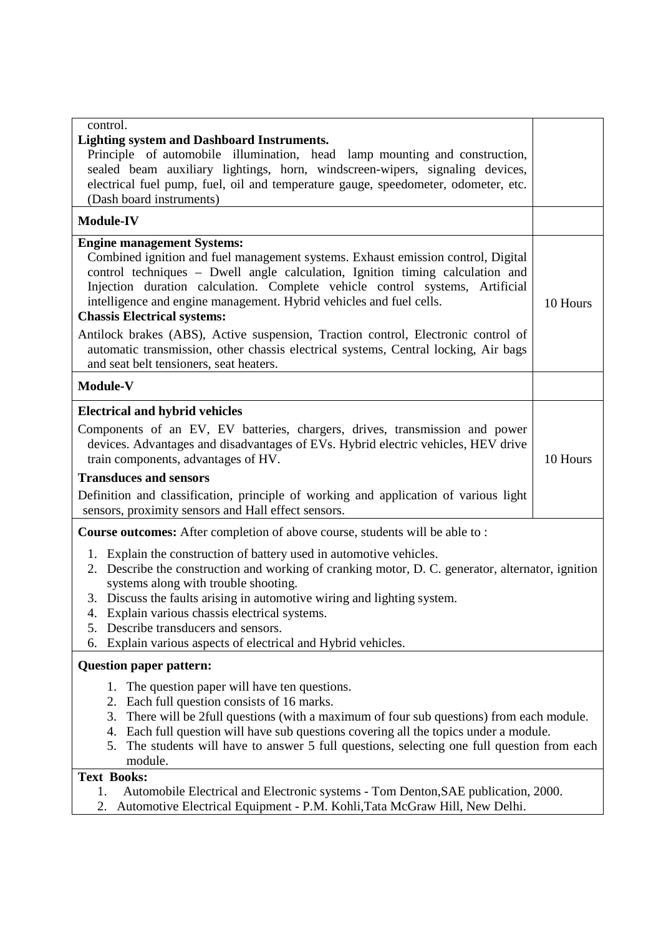| control.<br><b>Lighting system and Dashboard Instruments.</b><br>Principle of automobile illumination, head lamp mounting and construction,<br>sealed beam auxiliary lightings, horn, windscreen-wipers, signaling devices,<br>electrical fuel pump, fuel, oil and temperature gauge, speedometer, odometer, etc.<br>(Dash board instruments)                                                                                                                                                                                                                                                                              |          |  |
|----------------------------------------------------------------------------------------------------------------------------------------------------------------------------------------------------------------------------------------------------------------------------------------------------------------------------------------------------------------------------------------------------------------------------------------------------------------------------------------------------------------------------------------------------------------------------------------------------------------------------|----------|--|
| <b>Module-IV</b>                                                                                                                                                                                                                                                                                                                                                                                                                                                                                                                                                                                                           |          |  |
| <b>Engine management Systems:</b><br>Combined ignition and fuel management systems. Exhaust emission control, Digital<br>control techniques - Dwell angle calculation, Ignition timing calculation and<br>Injection duration calculation. Complete vehicle control systems, Artificial<br>intelligence and engine management. Hybrid vehicles and fuel cells.<br><b>Chassis Electrical systems:</b><br>Antilock brakes (ABS), Active suspension, Traction control, Electronic control of<br>automatic transmission, other chassis electrical systems, Central locking, Air bags<br>and seat belt tensioners, seat heaters. | 10 Hours |  |
| <b>Module-V</b>                                                                                                                                                                                                                                                                                                                                                                                                                                                                                                                                                                                                            |          |  |
| <b>Electrical and hybrid vehicles</b><br>Components of an EV, EV batteries, chargers, drives, transmission and power<br>devices. Advantages and disadvantages of EVs. Hybrid electric vehicles, HEV drive<br>train components, advantages of HV.<br><b>Transduces and sensors</b><br>Definition and classification, principle of working and application of various light<br>sensors, proximity sensors and Hall effect sensors.                                                                                                                                                                                           | 10 Hours |  |
| <b>Course outcomes:</b> After completion of above course, students will be able to:<br>1. Explain the construction of battery used in automotive vehicles.<br>2. Describe the construction and working of cranking motor, D. C. generator, alternator, ignition<br>systems along with trouble shooting.<br>3. Discuss the faults arising in automotive wiring and lighting system.<br>4. Explain various chassis electrical systems.<br>Describe transducers and sensors.<br>5.<br>Explain various aspects of electrical and Hybrid vehicles.<br>6.                                                                        |          |  |
| <b>Question paper pattern:</b>                                                                                                                                                                                                                                                                                                                                                                                                                                                                                                                                                                                             |          |  |
| The question paper will have ten questions.<br>1.<br>Each full question consists of 16 marks.<br>2.<br>There will be 2full questions (with a maximum of four sub questions) from each module.<br>3.<br>4. Each full question will have sub questions covering all the topics under a module.<br>The students will have to answer 5 full questions, selecting one full question from each<br>5.<br>module.<br><b>Text Books:</b>                                                                                                                                                                                            |          |  |
| Automobile Electrical and Electronic systems - Tom Denton, SAE publication, 2000.<br>1.<br>Automotive Electrical Equipment - P.M. Kohli, Tata McGraw Hill, New Delhi.<br>2.                                                                                                                                                                                                                                                                                                                                                                                                                                                |          |  |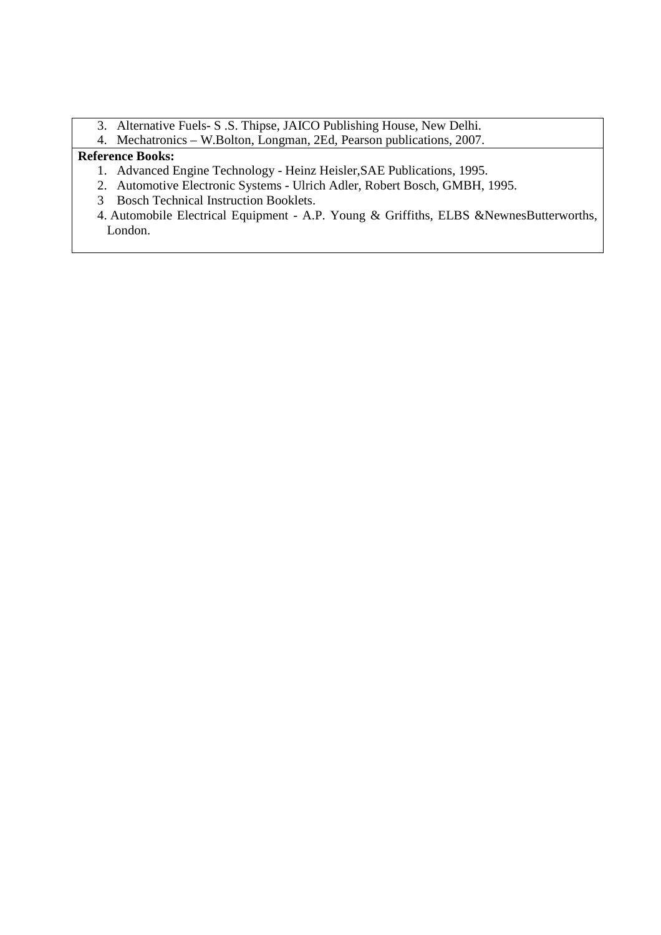- 3. Alternative Fuels- S .S. Thipse, JAICO Publishing House, New Delhi.
- 4. Mechatronics W.Bolton, Longman, 2Ed, Pearson publications, 2007.

## **Reference Books:**

- 1. Advanced Engine Technology Heinz Heisler,SAE Publications, 1995.
- 2. Automotive Electronic Systems Ulrich Adler, Robert Bosch, GMBH, 1995.
- 3 Bosch Technical Instruction Booklets.
- 4. Automobile Electrical Equipment A.P. Young & Griffiths, ELBS &NewnesButterworths, London.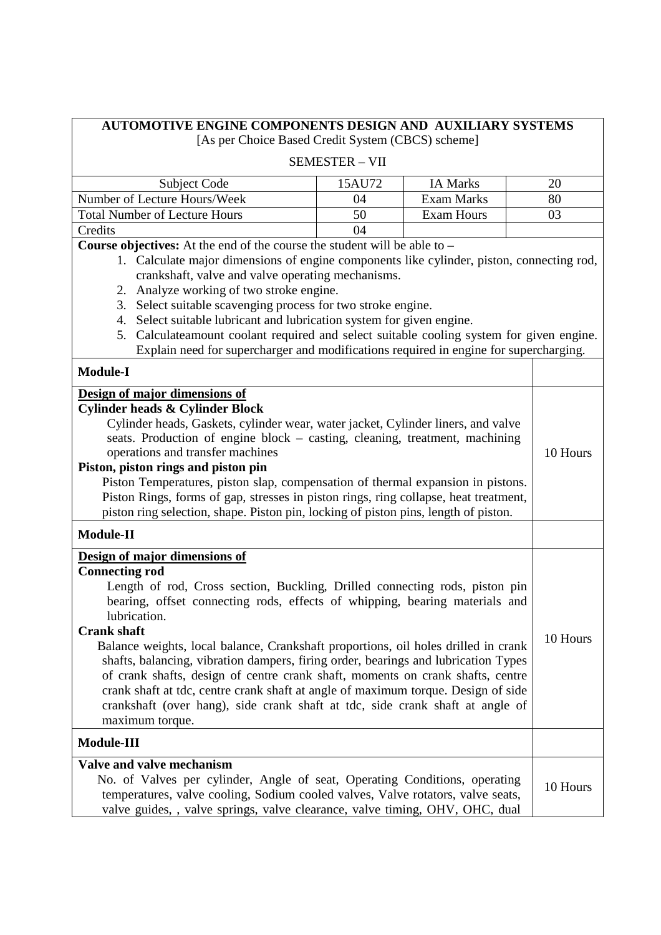| AUTOMOTIVE ENGINE COMPONENTS DESIGN AND AUXILIARY SYSTEMS                                                                                                                                                                                                                                                                                                                                                                                                                                                                                                                                                                                                                                                                                                                                                                                                                                                                                                                                                                                                                                                                        |                       |                   |          |
|----------------------------------------------------------------------------------------------------------------------------------------------------------------------------------------------------------------------------------------------------------------------------------------------------------------------------------------------------------------------------------------------------------------------------------------------------------------------------------------------------------------------------------------------------------------------------------------------------------------------------------------------------------------------------------------------------------------------------------------------------------------------------------------------------------------------------------------------------------------------------------------------------------------------------------------------------------------------------------------------------------------------------------------------------------------------------------------------------------------------------------|-----------------------|-------------------|----------|
| [As per Choice Based Credit System (CBCS) scheme]                                                                                                                                                                                                                                                                                                                                                                                                                                                                                                                                                                                                                                                                                                                                                                                                                                                                                                                                                                                                                                                                                |                       |                   |          |
|                                                                                                                                                                                                                                                                                                                                                                                                                                                                                                                                                                                                                                                                                                                                                                                                                                                                                                                                                                                                                                                                                                                                  | <b>SEMESTER - VII</b> |                   |          |
| Subject Code                                                                                                                                                                                                                                                                                                                                                                                                                                                                                                                                                                                                                                                                                                                                                                                                                                                                                                                                                                                                                                                                                                                     | 15AU72                | <b>IA Marks</b>   | 20       |
| Number of Lecture Hours/Week                                                                                                                                                                                                                                                                                                                                                                                                                                                                                                                                                                                                                                                                                                                                                                                                                                                                                                                                                                                                                                                                                                     | 04                    | <b>Exam Marks</b> | 80       |
| <b>Total Number of Lecture Hours</b>                                                                                                                                                                                                                                                                                                                                                                                                                                                                                                                                                                                                                                                                                                                                                                                                                                                                                                                                                                                                                                                                                             | 50                    | <b>Exam Hours</b> | 03       |
| Credits                                                                                                                                                                                                                                                                                                                                                                                                                                                                                                                                                                                                                                                                                                                                                                                                                                                                                                                                                                                                                                                                                                                          | 04                    |                   |          |
| Course objectives: At the end of the course the student will be able to -<br>1. Calculate major dimensions of engine components like cylinder, piston, connecting rod,<br>crankshaft, valve and valve operating mechanisms.<br>2. Analyze working of two stroke engine.<br>3. Select suitable scavenging process for two stroke engine.<br>4. Select suitable lubricant and lubrication system for given engine.<br>5. Calculateamount coolant required and select suitable cooling system for given engine.<br>Explain need for supercharger and modifications required in engine for supercharging.<br><b>Module-I</b><br>Design of major dimensions of<br><b>Cylinder heads &amp; Cylinder Block</b><br>Cylinder heads, Gaskets, cylinder wear, water jacket, Cylinder liners, and valve<br>seats. Production of engine block – casting, cleaning, treatment, machining<br>operations and transfer machines<br>Piston, piston rings and piston pin<br>Piston Temperatures, piston slap, compensation of thermal expansion in pistons.<br>Piston Rings, forms of gap, stresses in piston rings, ring collapse, heat treatment, |                       |                   | 10 Hours |
| piston ring selection, shape. Piston pin, locking of piston pins, length of piston.<br><b>Module-II</b>                                                                                                                                                                                                                                                                                                                                                                                                                                                                                                                                                                                                                                                                                                                                                                                                                                                                                                                                                                                                                          |                       |                   |          |
| Design of major dimensions of<br><b>Connecting rod</b><br>Length of rod, Cross section, Buckling, Drilled connecting rods, piston pin<br>bearing, offset connecting rods, effects of whipping, bearing materials and<br>lubrication.<br><b>Crank shaft</b><br>Balance weights, local balance, Crankshaft proportions, oil holes drilled in crank<br>shafts, balancing, vibration dampers, firing order, bearings and lubrication Types<br>of crank shafts, design of centre crank shaft, moments on crank shafts, centre<br>crank shaft at tdc, centre crank shaft at angle of maximum torque. Design of side<br>crankshaft (over hang), side crank shaft at tdc, side crank shaft at angle of<br>maximum torque.<br>Module-III                                                                                                                                                                                                                                                                                                                                                                                                  |                       |                   | 10 Hours |
| Valve and valve mechanism<br>No. of Valves per cylinder, Angle of seat, Operating Conditions, operating<br>temperatures, valve cooling, Sodium cooled valves, Valve rotators, valve seats,<br>valve guides, , valve springs, valve clearance, valve timing, OHV, OHC, dual                                                                                                                                                                                                                                                                                                                                                                                                                                                                                                                                                                                                                                                                                                                                                                                                                                                       |                       |                   | 10 Hours |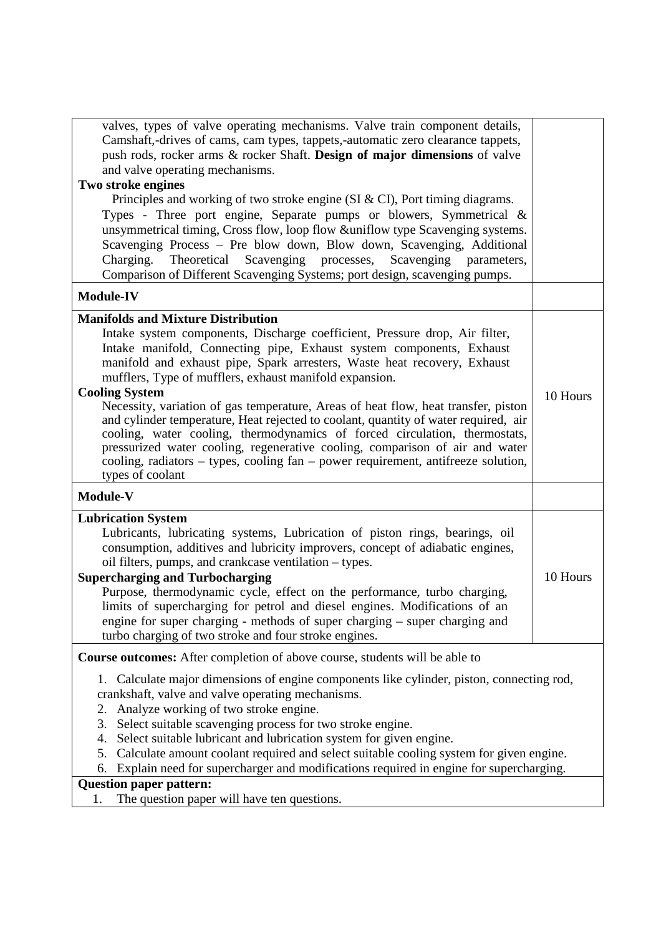| valves, types of valve operating mechanisms. Valve train component details,<br>Camshaft,-drives of cams, cam types, tappets,-automatic zero clearance tappets, |          |
|----------------------------------------------------------------------------------------------------------------------------------------------------------------|----------|
| push rods, rocker arms & rocker Shaft. Design of major dimensions of valve                                                                                     |          |
| and valve operating mechanisms.                                                                                                                                |          |
| Two stroke engines                                                                                                                                             |          |
| Principles and working of two stroke engine (SI $\&$ CI), Port timing diagrams.                                                                                |          |
| Types - Three port engine, Separate pumps or blowers, Symmetrical &                                                                                            |          |
| unsymmetrical timing, Cross flow, loop flow &uniflow type Scavenging systems.                                                                                  |          |
| Scavenging Process - Pre blow down, Blow down, Scavenging, Additional                                                                                          |          |
| Scavenging processes,<br>Charging.<br>Theoretical<br>Scavenging parameters,                                                                                    |          |
| Comparison of Different Scavenging Systems; port design, scavenging pumps.                                                                                     |          |
|                                                                                                                                                                |          |
| <b>Module-IV</b>                                                                                                                                               |          |
| <b>Manifolds and Mixture Distribution</b>                                                                                                                      |          |
| Intake system components, Discharge coefficient, Pressure drop, Air filter,                                                                                    |          |
| Intake manifold, Connecting pipe, Exhaust system components, Exhaust                                                                                           |          |
| manifold and exhaust pipe, Spark arresters, Waste heat recovery, Exhaust                                                                                       |          |
| mufflers, Type of mufflers, exhaust manifold expansion.                                                                                                        |          |
| <b>Cooling System</b><br>Necessity, variation of gas temperature, Areas of heat flow, heat transfer, piston                                                    | 10 Hours |
| and cylinder temperature, Heat rejected to coolant, quantity of water required, air                                                                            |          |
| cooling, water cooling, thermodynamics of forced circulation, thermostats,                                                                                     |          |
| pressurized water cooling, regenerative cooling, comparison of air and water                                                                                   |          |
| cooling, radiators – types, cooling fan – power requirement, antifreeze solution,                                                                              |          |
| types of coolant                                                                                                                                               |          |
| Module-V                                                                                                                                                       |          |
| <b>Lubrication System</b>                                                                                                                                      |          |
| Lubricants, lubricating systems, Lubrication of piston rings, bearings, oil                                                                                    |          |
| consumption, additives and lubricity improvers, concept of adiabatic engines,                                                                                  |          |
| oil filters, pumps, and crankcase ventilation – types.                                                                                                         |          |
| <b>Supercharging and Turbocharging</b>                                                                                                                         | 10 Hours |
| Purpose, thermodynamic cycle, effect on the performance, turbo charging,                                                                                       |          |
| limits of supercharging for petrol and diesel engines. Modifications of an                                                                                     |          |
| engine for super charging - methods of super charging – super charging and                                                                                     |          |
| turbo charging of two stroke and four stroke engines.                                                                                                          |          |
| Course outcomes: After completion of above course, students will be able to                                                                                    |          |
| 1. Calculate major dimensions of engine components like cylinder, piston, connecting rod,                                                                      |          |
| crankshaft, valve and valve operating mechanisms.                                                                                                              |          |
| Analyze working of two stroke engine.<br>2.                                                                                                                    |          |
| Select suitable scavenging process for two stroke engine.<br>3.                                                                                                |          |
| Select suitable lubricant and lubrication system for given engine.<br>4.                                                                                       |          |
| Calculate amount coolant required and select suitable cooling system for given engine.<br>5.                                                                   |          |
| Explain need for supercharger and modifications required in engine for supercharging.<br>6.                                                                    |          |
| <b>Question paper pattern:</b>                                                                                                                                 |          |
| The question paper will have ten questions.<br>1.                                                                                                              |          |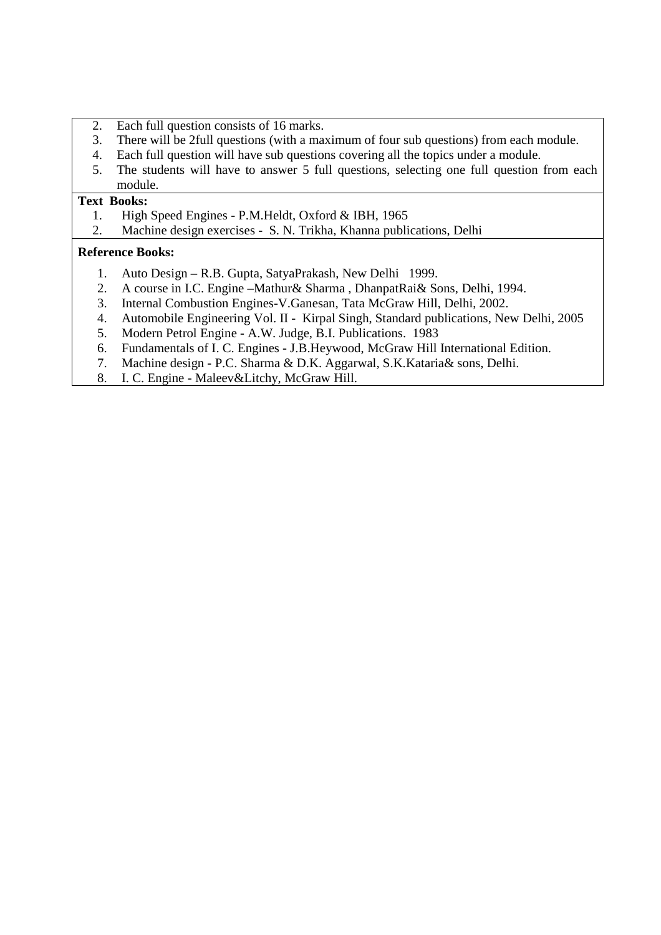- 2. Each full question consists of 16 marks.
- 3. There will be 2full questions (with a maximum of four sub questions) from each module.
- 4. Each full question will have sub questions covering all the topics under a module.
- 5. The students will have to answer 5 full questions, selecting one full question from each module.

#### **Text Books:**

- 1. High Speed Engines P.M.Heldt, Oxford & IBH, 1965
- 2. Machine design exercises S. N. Trikha, Khanna publications, Delhi

#### **Reference Books:**

- 1. Auto Design R.B. Gupta, SatyaPrakash, New Delhi 1999.
- 2. A course in I.C. Engine –Mathur& Sharma , DhanpatRai& Sons, Delhi, 1994.
- 3. Internal Combustion Engines-V.Ganesan, Tata McGraw Hill, Delhi, 2002.
- 4. Automobile Engineering Vol. II Kirpal Singh, Standard publications, New Delhi, 2005
- 5. Modern Petrol Engine A.W. Judge, B.I. Publications. 1983
- 6. Fundamentals of I. C. Engines J.B.Heywood, McGraw Hill International Edition.
- 7. Machine design P.C. Sharma & D.K. Aggarwal, S.K.Kataria& sons, Delhi.
- 8. I. C. Engine Maleev&Litchy, McGraw Hill.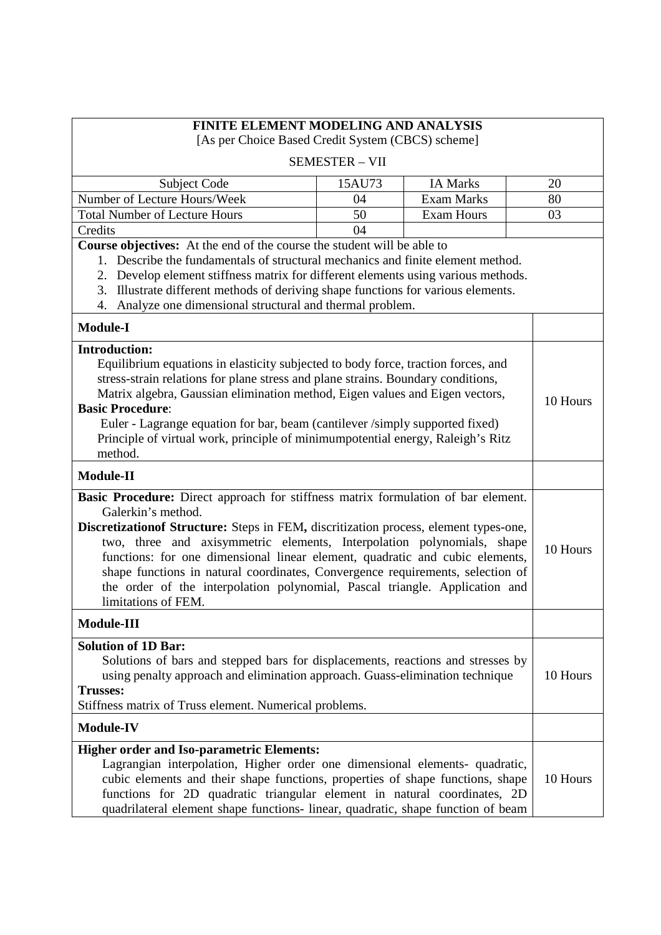| <b>FINITE ELEMENT MODELING AND ANALYSIS</b><br>[As per Choice Based Credit System (CBCS) scheme]                                                                                                                                                                                                                                                                                                                                                                                                                                                   |                       |                   |          |
|----------------------------------------------------------------------------------------------------------------------------------------------------------------------------------------------------------------------------------------------------------------------------------------------------------------------------------------------------------------------------------------------------------------------------------------------------------------------------------------------------------------------------------------------------|-----------------------|-------------------|----------|
|                                                                                                                                                                                                                                                                                                                                                                                                                                                                                                                                                    | <b>SEMESTER - VII</b> |                   |          |
| Subject Code                                                                                                                                                                                                                                                                                                                                                                                                                                                                                                                                       | 15AU73                | <b>IA Marks</b>   | 20       |
| Number of Lecture Hours/Week                                                                                                                                                                                                                                                                                                                                                                                                                                                                                                                       | 04                    | <b>Exam Marks</b> | 80       |
| <b>Total Number of Lecture Hours</b>                                                                                                                                                                                                                                                                                                                                                                                                                                                                                                               | 50                    | <b>Exam Hours</b> | 03       |
| Credits                                                                                                                                                                                                                                                                                                                                                                                                                                                                                                                                            | 04                    |                   |          |
| Course objectives: At the end of the course the student will be able to<br>Describe the fundamentals of structural mechanics and finite element method.<br>1.<br>Develop element stiffness matrix for different elements using various methods.<br>2.<br>3. Illustrate different methods of deriving shape functions for various elements.<br>Analyze one dimensional structural and thermal problem.<br>4.                                                                                                                                        |                       |                   |          |
| <b>Module-I</b>                                                                                                                                                                                                                                                                                                                                                                                                                                                                                                                                    |                       |                   |          |
| <b>Introduction:</b><br>Equilibrium equations in elasticity subjected to body force, traction forces, and<br>stress-strain relations for plane stress and plane strains. Boundary conditions,<br>Matrix algebra, Gaussian elimination method, Eigen values and Eigen vectors,<br><b>Basic Procedure:</b><br>Euler - Lagrange equation for bar, beam (cantilever /simply supported fixed)<br>Principle of virtual work, principle of minimumpotential energy, Raleigh's Ritz<br>method.                                                             |                       |                   | 10 Hours |
| Module-II                                                                                                                                                                                                                                                                                                                                                                                                                                                                                                                                          |                       |                   |          |
| Basic Procedure: Direct approach for stiffness matrix formulation of bar element.<br>Galerkin's method.<br>Discretization of Structure: Steps in FEM, discritization process, element types-one,<br>two, three and axisymmetric elements, Interpolation polynomials, shape<br>functions: for one dimensional linear element, quadratic and cubic elements,<br>shape functions in natural coordinates, Convergence requirements, selection of<br>the order of the interpolation polynomial, Pascal triangle. Application and<br>limitations of FEM. |                       |                   | 10 Hours |
| Module-III                                                                                                                                                                                                                                                                                                                                                                                                                                                                                                                                         |                       |                   |          |
| <b>Solution of 1D Bar:</b><br>Solutions of bars and stepped bars for displacements, reactions and stresses by<br>using penalty approach and elimination approach. Guass-elimination technique<br><b>Trusses:</b><br>Stiffness matrix of Truss element. Numerical problems.                                                                                                                                                                                                                                                                         |                       |                   | 10 Hours |
| Module-IV                                                                                                                                                                                                                                                                                                                                                                                                                                                                                                                                          |                       |                   |          |
| <b>Higher order and Iso-parametric Elements:</b><br>Lagrangian interpolation, Higher order one dimensional elements- quadratic,<br>cubic elements and their shape functions, properties of shape functions, shape<br>functions for 2D quadratic triangular element in natural coordinates, 2D<br>quadrilateral element shape functions- linear, quadratic, shape function of beam                                                                                                                                                                  |                       |                   | 10 Hours |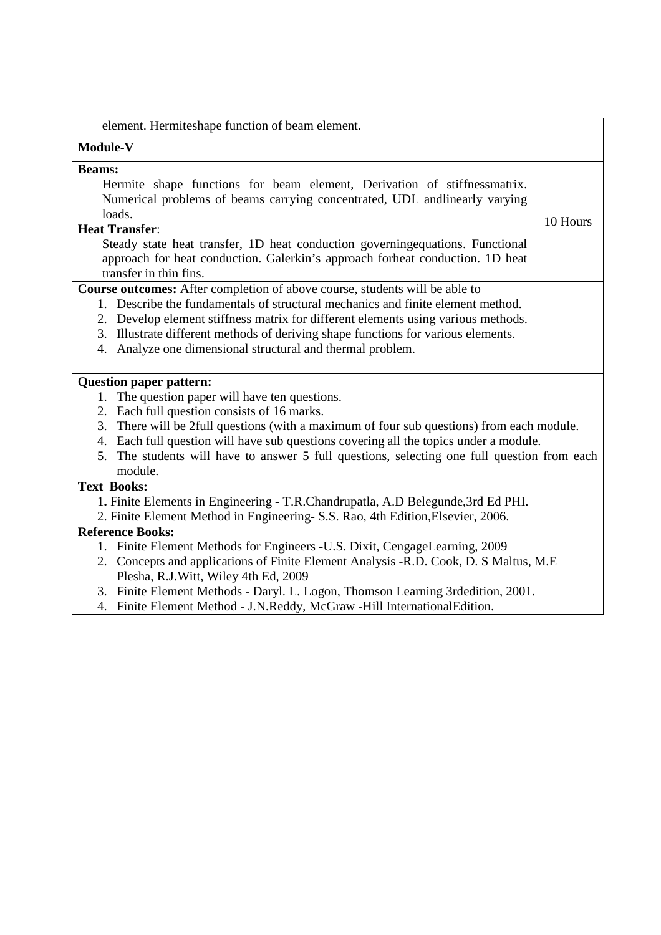| element. Hermiteshape function of beam element.                                                                                                             |          |
|-------------------------------------------------------------------------------------------------------------------------------------------------------------|----------|
| <b>Module-V</b>                                                                                                                                             |          |
| <b>Beams:</b>                                                                                                                                               |          |
| Hermite shape functions for beam element, Derivation of stiffnessmatrix.                                                                                    |          |
| Numerical problems of beams carrying concentrated, UDL andlinearly varying                                                                                  |          |
| loads.                                                                                                                                                      |          |
| <b>Heat Transfer:</b>                                                                                                                                       | 10 Hours |
| Steady state heat transfer, 1D heat conduction governing equations. Functional                                                                              |          |
| approach for heat conduction. Galerkin's approach forheat conduction. 1D heat                                                                               |          |
| transfer in thin fins.                                                                                                                                      |          |
| Course outcomes: After completion of above course, students will be able to                                                                                 |          |
| 1. Describe the fundamentals of structural mechanics and finite element method.                                                                             |          |
| 2. Develop element stiffness matrix for different elements using various methods.                                                                           |          |
| 3. Illustrate different methods of deriving shape functions for various elements.                                                                           |          |
| 4. Analyze one dimensional structural and thermal problem.                                                                                                  |          |
|                                                                                                                                                             |          |
| <b>Question paper pattern:</b>                                                                                                                              |          |
| The question paper will have ten questions.<br>1.                                                                                                           |          |
| 2. Each full question consists of 16 marks.                                                                                                                 |          |
| There will be 2full questions (with a maximum of four sub questions) from each module.<br>3.                                                                |          |
| 4. Each full question will have sub questions covering all the topics under a module.                                                                       |          |
| The students will have to answer 5 full questions, selecting one full question from each<br>5.                                                              |          |
| module.                                                                                                                                                     |          |
| <b>Text Books:</b>                                                                                                                                          |          |
| 1. Finite Elements in Engineering - T.R.Chandrupatla, A.D Belegunde, 3rd Ed PHI.                                                                            |          |
| 2. Finite Element Method in Engineering- S.S. Rao, 4th Edition, Elsevier, 2006.                                                                             |          |
| <b>Reference Books:</b>                                                                                                                                     |          |
| 1. Finite Element Methods for Engineers -U.S. Dixit, CengageLearning, 2009                                                                                  |          |
| 2. Concepts and applications of Finite Element Analysis -R.D. Cook, D. S Maltus, M.E.                                                                       |          |
| Plesha, R.J. Witt, Wiley 4th Ed, 2009                                                                                                                       |          |
| 3. Finite Element Methods - Daryl. L. Logon, Thomson Learning 3rdedition, 2001.<br>4. Finite Element Method - J.N.Reddy, McGraw -Hill InternationalEdition. |          |
|                                                                                                                                                             |          |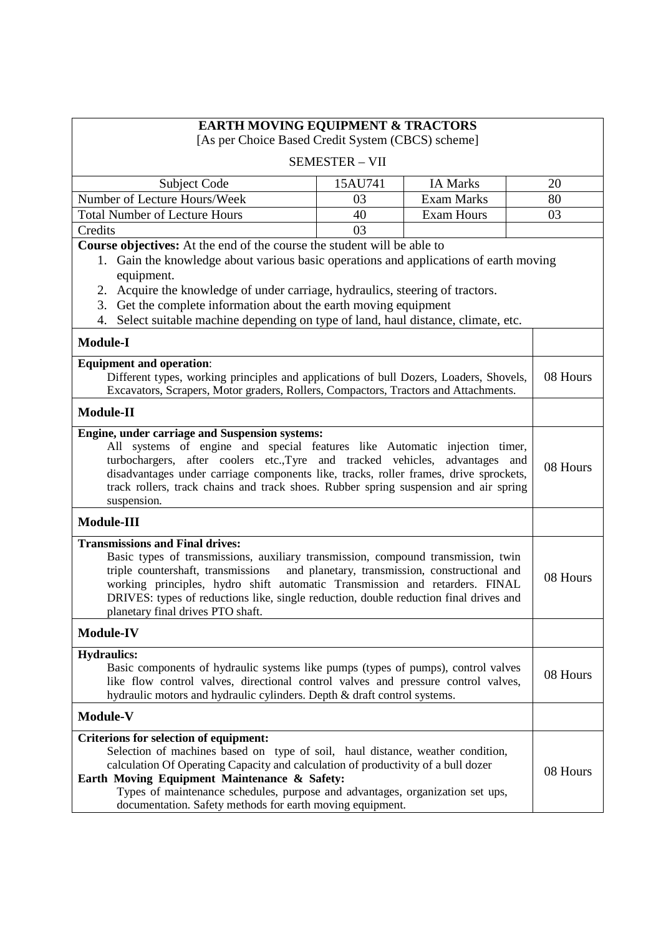| <b>EARTH MOVING EQUIPMENT &amp; TRACTORS</b>                                                                                                                                                                                                                                                                                                                                                                       |                       |                                                 |          |
|--------------------------------------------------------------------------------------------------------------------------------------------------------------------------------------------------------------------------------------------------------------------------------------------------------------------------------------------------------------------------------------------------------------------|-----------------------|-------------------------------------------------|----------|
| [As per Choice Based Credit System (CBCS) scheme]                                                                                                                                                                                                                                                                                                                                                                  |                       |                                                 |          |
|                                                                                                                                                                                                                                                                                                                                                                                                                    | <b>SEMESTER - VII</b> |                                                 |          |
| Subject Code                                                                                                                                                                                                                                                                                                                                                                                                       | 15AU741               | <b>IA Marks</b>                                 | 20       |
| Number of Lecture Hours/Week                                                                                                                                                                                                                                                                                                                                                                                       | 03                    | <b>Exam Marks</b>                               | 80       |
| <b>Total Number of Lecture Hours</b>                                                                                                                                                                                                                                                                                                                                                                               | 40                    | <b>Exam Hours</b>                               | 03       |
| Credits                                                                                                                                                                                                                                                                                                                                                                                                            | 03                    |                                                 |          |
| Course objectives: At the end of the course the student will be able to<br>1. Gain the knowledge about various basic operations and applications of earth moving<br>equipment.<br>Acquire the knowledge of under carriage, hydraulics, steering of tractors.<br>2.<br>3. Get the complete information about the earth moving equipment                                                                             |                       |                                                 |          |
| 4. Select suitable machine depending on type of land, haul distance, climate, etc.                                                                                                                                                                                                                                                                                                                                 |                       |                                                 |          |
| <b>Module-I</b>                                                                                                                                                                                                                                                                                                                                                                                                    |                       |                                                 |          |
| <b>Equipment and operation:</b><br>Different types, working principles and applications of bull Dozers, Loaders, Shovels,<br>Excavators, Scrapers, Motor graders, Rollers, Compactors, Tractors and Attachments.                                                                                                                                                                                                   |                       |                                                 | 08 Hours |
| <b>Module-II</b>                                                                                                                                                                                                                                                                                                                                                                                                   |                       |                                                 |          |
| Engine, under carriage and Suspension systems:<br>All systems of engine and special features like Automatic injection timer,<br>turbochargers, after coolers etc., Tyre and tracked vehicles, advantages and<br>disadvantages under carriage components like, tracks, roller frames, drive sprockets,<br>track rollers, track chains and track shoes. Rubber spring suspension and air spring<br>suspension.       |                       |                                                 | 08 Hours |
| <b>Module-III</b>                                                                                                                                                                                                                                                                                                                                                                                                  |                       |                                                 |          |
| <b>Transmissions and Final drives:</b><br>Basic types of transmissions, auxiliary transmission, compound transmission, twin<br>triple countershaft, transmissions<br>working principles, hydro shift automatic Transmission and retarders. FINAL<br>DRIVES: types of reductions like, single reduction, double reduction final drives and<br>planetary final drives PTO shaft.                                     |                       | and planetary, transmission, constructional and | 08 Hours |
| <b>Module-IV</b>                                                                                                                                                                                                                                                                                                                                                                                                   |                       |                                                 |          |
| <b>Hydraulics:</b><br>Basic components of hydraulic systems like pumps (types of pumps), control valves<br>like flow control valves, directional control valves and pressure control valves,<br>hydraulic motors and hydraulic cylinders. Depth & draft control systems.                                                                                                                                           |                       |                                                 | 08 Hours |
| <b>Module-V</b>                                                                                                                                                                                                                                                                                                                                                                                                    |                       |                                                 |          |
| <b>Criterions for selection of equipment:</b><br>Selection of machines based on type of soil, haul distance, weather condition,<br>calculation Of Operating Capacity and calculation of productivity of a bull dozer<br>Earth Moving Equipment Maintenance & Safety:<br>Types of maintenance schedules, purpose and advantages, organization set ups,<br>documentation. Safety methods for earth moving equipment. |                       |                                                 | 08 Hours |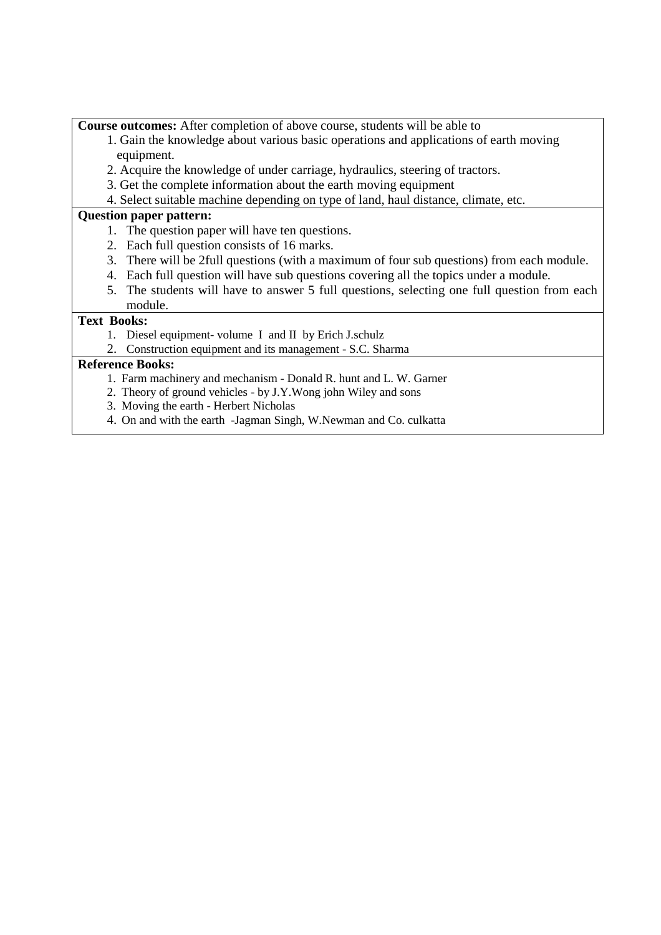**Course outcomes:** After completion of above course, students will be able to

- 1. Gain the knowledge about various basic operations and applications of earth moving equipment.
- 2. Acquire the knowledge of under carriage, hydraulics, steering of tractors.
- 3. Get the complete information about the earth moving equipment
- 4. Select suitable machine depending on type of land, haul distance, climate, etc.

## **Question paper pattern:**

- 1. The question paper will have ten questions.
- 2. Each full question consists of 16 marks.
- 3. There will be 2full questions (with a maximum of four sub questions) from each module.
- 4. Each full question will have sub questions covering all the topics under a module.
- 5. The students will have to answer 5 full questions, selecting one full question from each module.

# **Text Books:**

- 1. Diesel equipment- volume I and II by Erich J.schulz
- 2. Construction equipment and its management S.C. Sharma

## **Reference Books:**

- 1. Farm machinery and mechanism Donald R. hunt and L. W. Garner
- 2. Theory of ground vehicles by J.Y.Wong john Wiley and sons
- 3. Moving the earth Herbert Nicholas
- 4. On and with the earth -Jagman Singh, W.Newman and Co. culkatta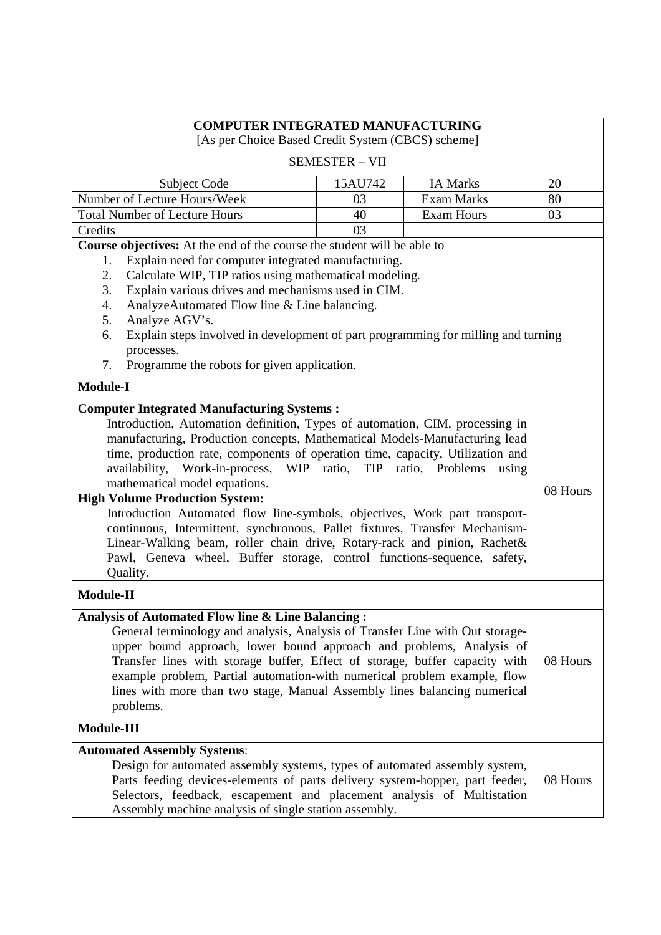| <b>COMPUTER INTEGRATED MANUFACTURING</b><br>[As per Choice Based Credit System (CBCS) scheme]                                                                                                                                                                                                                                                                                                                                                                                                                                                                                                                                                                                                                                    |                       |                   |          |
|----------------------------------------------------------------------------------------------------------------------------------------------------------------------------------------------------------------------------------------------------------------------------------------------------------------------------------------------------------------------------------------------------------------------------------------------------------------------------------------------------------------------------------------------------------------------------------------------------------------------------------------------------------------------------------------------------------------------------------|-----------------------|-------------------|----------|
|                                                                                                                                                                                                                                                                                                                                                                                                                                                                                                                                                                                                                                                                                                                                  | <b>SEMESTER - VII</b> |                   |          |
| Subject Code                                                                                                                                                                                                                                                                                                                                                                                                                                                                                                                                                                                                                                                                                                                     | 15AU742               | <b>IA Marks</b>   | 20       |
| Number of Lecture Hours/Week                                                                                                                                                                                                                                                                                                                                                                                                                                                                                                                                                                                                                                                                                                     | 03                    | <b>Exam Marks</b> | 80       |
| <b>Total Number of Lecture Hours</b>                                                                                                                                                                                                                                                                                                                                                                                                                                                                                                                                                                                                                                                                                             | 40                    | <b>Exam Hours</b> | 03       |
| Credits                                                                                                                                                                                                                                                                                                                                                                                                                                                                                                                                                                                                                                                                                                                          | 03                    |                   |          |
| Course objectives: At the end of the course the student will be able to                                                                                                                                                                                                                                                                                                                                                                                                                                                                                                                                                                                                                                                          |                       |                   |          |
| Explain need for computer integrated manufacturing.<br>1.<br>Calculate WIP, TIP ratios using mathematical modeling.<br>2.<br>3.<br>Explain various drives and mechanisms used in CIM.<br>4.<br>AnalyzeAutomated Flow line & Line balancing.<br>5.<br>Analyze AGV's.<br>Explain steps involved in development of part programming for milling and turning<br>6.<br>processes.<br>Programme the robots for given application.<br>7.<br><b>Module-I</b>                                                                                                                                                                                                                                                                             |                       |                   |          |
| <b>Computer Integrated Manufacturing Systems:</b>                                                                                                                                                                                                                                                                                                                                                                                                                                                                                                                                                                                                                                                                                |                       |                   |          |
| Introduction, Automation definition, Types of automation, CIM, processing in<br>manufacturing, Production concepts, Mathematical Models-Manufacturing lead<br>time, production rate, components of operation time, capacity, Utilization and<br>availability, Work-in-process, WIP ratio, TIP ratio, Problems<br>using<br>mathematical model equations.<br><b>High Volume Production System:</b><br>Introduction Automated flow line-symbols, objectives, Work part transport-<br>continuous, Intermittent, synchronous, Pallet fixtures, Transfer Mechanism-<br>Linear-Walking beam, roller chain drive, Rotary-rack and pinion, Rachet&<br>Pawl, Geneva wheel, Buffer storage, control functions-sequence, safety,<br>Quality. |                       |                   | 08 Hours |
| <b>Module-II</b>                                                                                                                                                                                                                                                                                                                                                                                                                                                                                                                                                                                                                                                                                                                 |                       |                   |          |
| Analysis of Automated Flow line & Line Balancing:<br>General terminology and analysis, Analysis of Transfer Line with Out storage-<br>upper bound approach, lower bound approach and problems, Analysis of<br>Transfer lines with storage buffer, Effect of storage, buffer capacity with<br>example problem, Partial automation-with numerical problem example, flow<br>lines with more than two stage, Manual Assembly lines balancing numerical<br>problems.                                                                                                                                                                                                                                                                  |                       |                   | 08 Hours |
| Module-III                                                                                                                                                                                                                                                                                                                                                                                                                                                                                                                                                                                                                                                                                                                       |                       |                   |          |
| <b>Automated Assembly Systems:</b><br>Design for automated assembly systems, types of automated assembly system,<br>Parts feeding devices-elements of parts delivery system-hopper, part feeder,<br>Selectors, feedback, escapement and placement analysis of Multistation<br>Assembly machine analysis of single station assembly.                                                                                                                                                                                                                                                                                                                                                                                              |                       |                   | 08 Hours |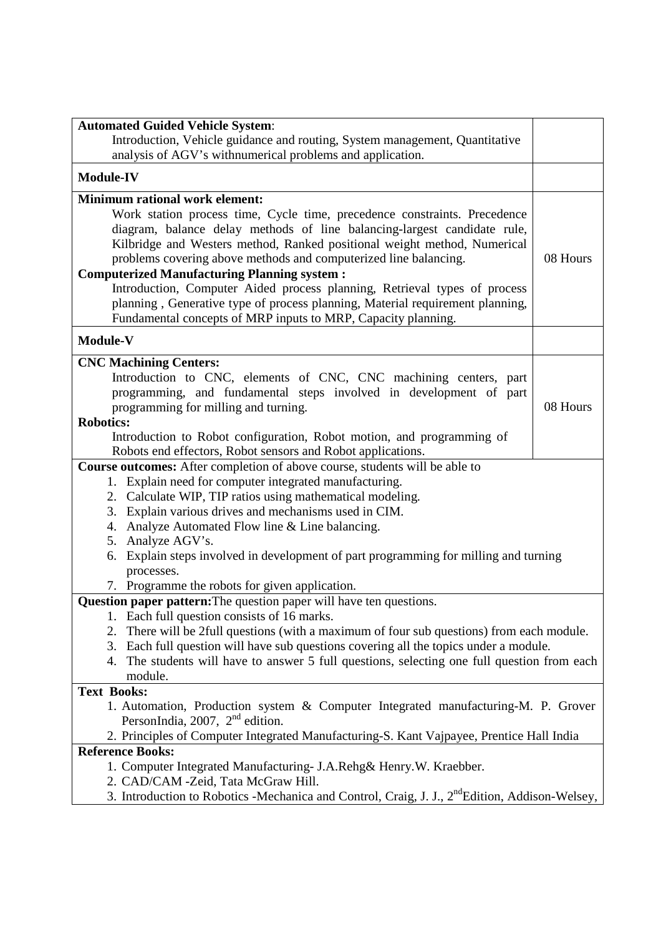| Introduction, Vehicle guidance and routing, System management, Quantitative                                            |          |  |
|------------------------------------------------------------------------------------------------------------------------|----------|--|
| analysis of AGV's withnumerical problems and application.                                                              |          |  |
| <b>Module-IV</b>                                                                                                       |          |  |
| <b>Minimum rational work element:</b>                                                                                  |          |  |
| Work station process time, Cycle time, precedence constraints. Precedence                                              |          |  |
| diagram, balance delay methods of line balancing-largest candidate rule,                                               |          |  |
| Kilbridge and Westers method, Ranked positional weight method, Numerical                                               |          |  |
| problems covering above methods and computerized line balancing.                                                       | 08 Hours |  |
| <b>Computerized Manufacturing Planning system:</b>                                                                     |          |  |
| Introduction, Computer Aided process planning, Retrieval types of process                                              |          |  |
| planning, Generative type of process planning, Material requirement planning,                                          |          |  |
| Fundamental concepts of MRP inputs to MRP, Capacity planning.                                                          |          |  |
| Module-V                                                                                                               |          |  |
| <b>CNC Machining Centers:</b>                                                                                          |          |  |
| Introduction to CNC, elements of CNC, CNC machining centers, part                                                      |          |  |
| programming, and fundamental steps involved in development of part                                                     |          |  |
| programming for milling and turning.                                                                                   | 08 Hours |  |
| <b>Robotics:</b>                                                                                                       |          |  |
| Introduction to Robot configuration, Robot motion, and programming of                                                  |          |  |
| Robots end effectors, Robot sensors and Robot applications.                                                            |          |  |
| <b>Course outcomes:</b> After completion of above course, students will be able to                                     |          |  |
| 1. Explain need for computer integrated manufacturing.                                                                 |          |  |
| 2. Calculate WIP, TIP ratios using mathematical modeling.                                                              |          |  |
| Explain various drives and mechanisms used in CIM.<br>3.                                                               |          |  |
| Analyze Automated Flow line & Line balancing.<br>4.                                                                    |          |  |
| Analyze AGV's.<br>5.                                                                                                   |          |  |
| Explain steps involved in development of part programming for milling and turning<br>6.                                |          |  |
| processes.                                                                                                             |          |  |
| 7. Programme the robots for given application.                                                                         |          |  |
| Question paper pattern: The question paper will have ten questions.                                                    |          |  |
| 1. Each full question consists of 16 marks.                                                                            |          |  |
| There will be 2full questions (with a maximum of four sub questions) from each module.<br>2.                           |          |  |
| Each full question will have sub questions covering all the topics under a module.<br>3.                               |          |  |
| The students will have to answer 5 full questions, selecting one full question from each<br>4.                         |          |  |
| module.                                                                                                                |          |  |
| <b>Text Books:</b>                                                                                                     |          |  |
| 1. Automation, Production system & Computer Integrated manufacturing-M. P. Grover<br>PersonIndia, 2007, $2nd$ edition. |          |  |
| 2. Principles of Computer Integrated Manufacturing-S. Kant Vajpayee, Prentice Hall India                               |          |  |
| <b>Reference Books:</b>                                                                                                |          |  |
| 1. Computer Integrated Manufacturing- J.A.Rehg& Henry.W. Kraebber.                                                     |          |  |
| 2. CAD/CAM -Zeid, Tata McGraw Hill.                                                                                    |          |  |
| 3. Introduction to Robotics -Mechanica and Control, Craig, J. J., 2 <sup>nd</sup> Edition, Addison-Welsey,             |          |  |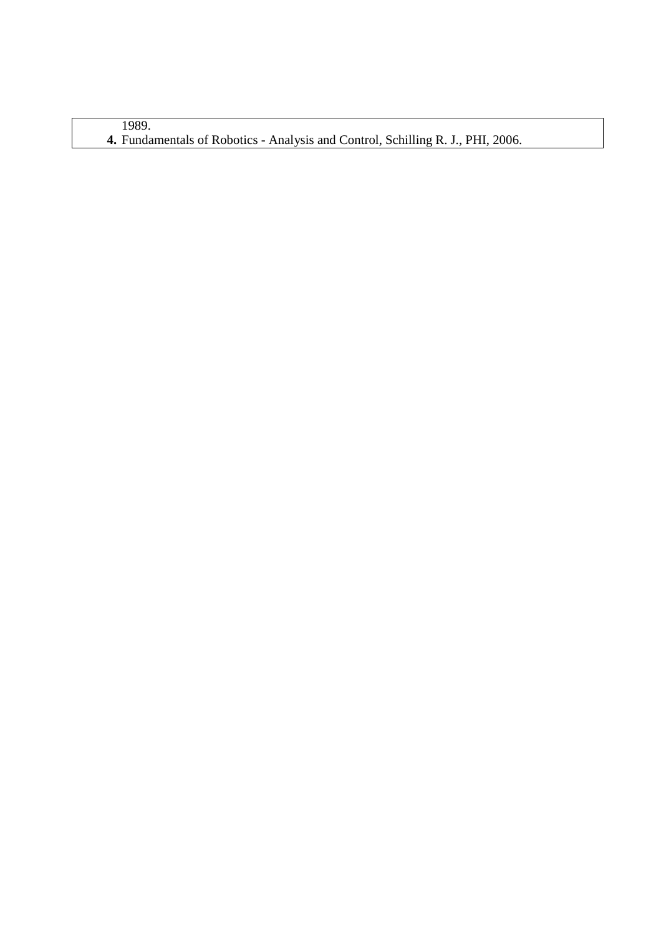1989. **4.** Fundamentals of Robotics - Analysis and Control, Schilling R. J., PHI, 2006.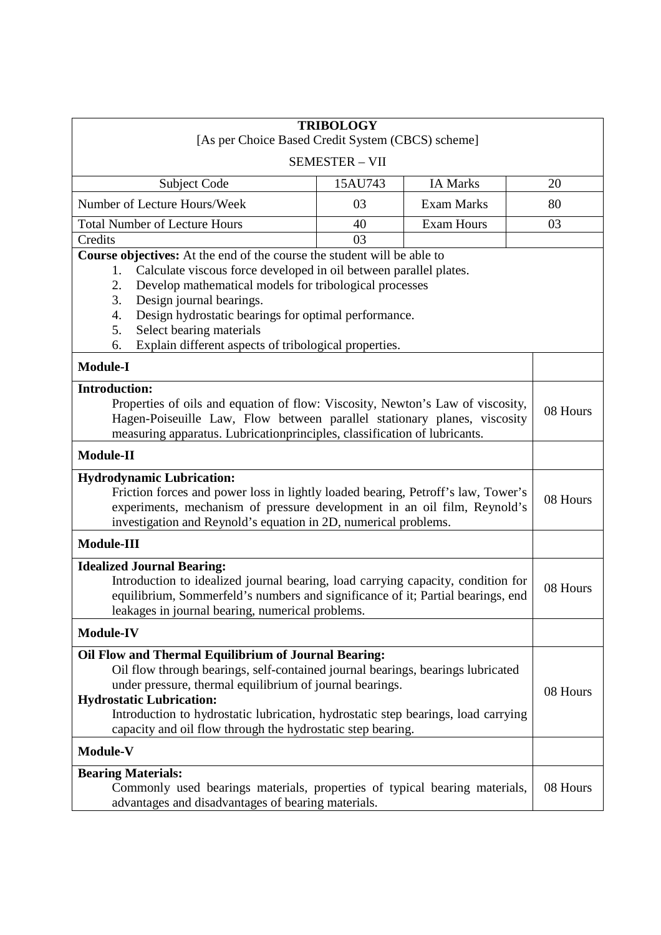| <b>TRIBOLOGY</b>                                                                                                                                                                                                                                                                                                                                                                           |                       |                   |          |
|--------------------------------------------------------------------------------------------------------------------------------------------------------------------------------------------------------------------------------------------------------------------------------------------------------------------------------------------------------------------------------------------|-----------------------|-------------------|----------|
| [As per Choice Based Credit System (CBCS) scheme]                                                                                                                                                                                                                                                                                                                                          |                       |                   |          |
|                                                                                                                                                                                                                                                                                                                                                                                            | <b>SEMESTER - VII</b> |                   |          |
| <b>Subject Code</b>                                                                                                                                                                                                                                                                                                                                                                        | 15AU743               | <b>IA Marks</b>   | 20       |
| Number of Lecture Hours/Week                                                                                                                                                                                                                                                                                                                                                               | 03                    | <b>Exam Marks</b> | 80       |
| <b>Total Number of Lecture Hours</b>                                                                                                                                                                                                                                                                                                                                                       | 40                    | <b>Exam Hours</b> | 03       |
| Credits<br>Course objectives: At the end of the course the student will be able to                                                                                                                                                                                                                                                                                                         | 03                    |                   |          |
| Calculate viscous force developed in oil between parallel plates.<br>1.<br>2.<br>Develop mathematical models for tribological processes<br>3.<br>Design journal bearings.<br>4.<br>Design hydrostatic bearings for optimal performance.<br>5.<br>Select bearing materials<br>Explain different aspects of tribological properties.<br>6.                                                   |                       |                   |          |
| <b>Module-I</b>                                                                                                                                                                                                                                                                                                                                                                            |                       |                   |          |
| <b>Introduction:</b><br>Properties of oils and equation of flow: Viscosity, Newton's Law of viscosity,<br>Hagen-Poiseuille Law, Flow between parallel stationary planes, viscosity<br>measuring apparatus. Lubricationprinciples, classification of lubricants.                                                                                                                            |                       |                   | 08 Hours |
| <b>Module-II</b>                                                                                                                                                                                                                                                                                                                                                                           |                       |                   |          |
| <b>Hydrodynamic Lubrication:</b><br>Friction forces and power loss in lightly loaded bearing, Petroff's law, Tower's<br>experiments, mechanism of pressure development in an oil film, Reynold's<br>investigation and Reynold's equation in 2D, numerical problems.                                                                                                                        |                       |                   | 08 Hours |
| <b>Module-III</b>                                                                                                                                                                                                                                                                                                                                                                          |                       |                   |          |
| <b>Idealized Journal Bearing:</b><br>Introduction to idealized journal bearing, load carrying capacity, condition for<br>equilibrium, Sommerfeld's numbers and significance of it; Partial bearings, end<br>leakages in journal bearing, numerical problems.                                                                                                                               |                       |                   | 08 Hours |
| <b>Module-IV</b>                                                                                                                                                                                                                                                                                                                                                                           |                       |                   |          |
| Oil Flow and Thermal Equilibrium of Journal Bearing:<br>Oil flow through bearings, self-contained journal bearings, bearings lubricated<br>under pressure, thermal equilibrium of journal bearings.<br><b>Hydrostatic Lubrication:</b><br>Introduction to hydrostatic lubrication, hydrostatic step bearings, load carrying<br>capacity and oil flow through the hydrostatic step bearing. |                       |                   | 08 Hours |
| Module-V                                                                                                                                                                                                                                                                                                                                                                                   |                       |                   |          |
| <b>Bearing Materials:</b><br>Commonly used bearings materials, properties of typical bearing materials,<br>advantages and disadvantages of bearing materials.                                                                                                                                                                                                                              |                       |                   | 08 Hours |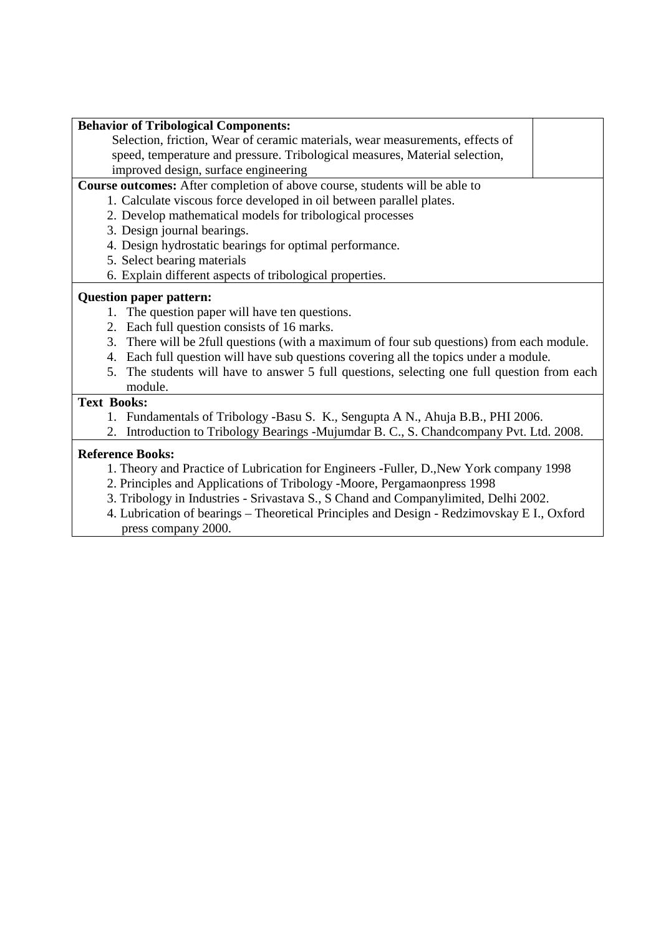| <b>Behavior of Tribological Components:</b>                                                 |
|---------------------------------------------------------------------------------------------|
| Selection, friction, Wear of ceramic materials, wear measurements, effects of               |
| speed, temperature and pressure. Tribological measures, Material selection,                 |
| improved design, surface engineering                                                        |
| Course outcomes: After completion of above course, students will be able to                 |
| 1. Calculate viscous force developed in oil between parallel plates.                        |
| 2. Develop mathematical models for tribological processes                                   |
| 3. Design journal bearings.                                                                 |
| 4. Design hydrostatic bearings for optimal performance.                                     |
| 5. Select bearing materials                                                                 |
| 6. Explain different aspects of tribological properties.                                    |
| <b>Question paper pattern:</b>                                                              |
| 1. The question paper will have ten questions.                                              |
| 2. Each full question consists of 16 marks.                                                 |
| 3. There will be 2full questions (with a maximum of four sub questions) from each module.   |
| 4. Each full question will have sub questions covering all the topics under a module.       |
| 5. The students will have to answer 5 full questions, selecting one full question from each |
| module.                                                                                     |
| <b>Text Books:</b>                                                                          |
| 1. Fundamentals of Tribology -Basu S. K., Sengupta A N., Ahuja B.B., PHI 2006.              |
| 2. Introduction to Tribology Bearings -Mujumdar B. C., S. Chandcompany Pvt. Ltd. 2008.      |
| <b>Reference Books:</b>                                                                     |
| 1. Theory and Practice of Lubrication for Engineers -Fuller, D., New York company 1998      |
| $\mathcal{C}$ $\mathbf{m}$ $\mathbf{u}$ $\mathbf{u}$ $\mathbf{v}$ $\mathbf{v}$ $\mathbf{v}$ |

- 2. Principles and Applications of Tribology -Moore, Pergamaonpress 1998
- 3. Tribology in Industries Srivastava S., S Chand and Companylimited, Delhi 2002.
- 4. Lubrication of bearings Theoretical Principles and Design Redzimovskay E I., Oxford press company 2000.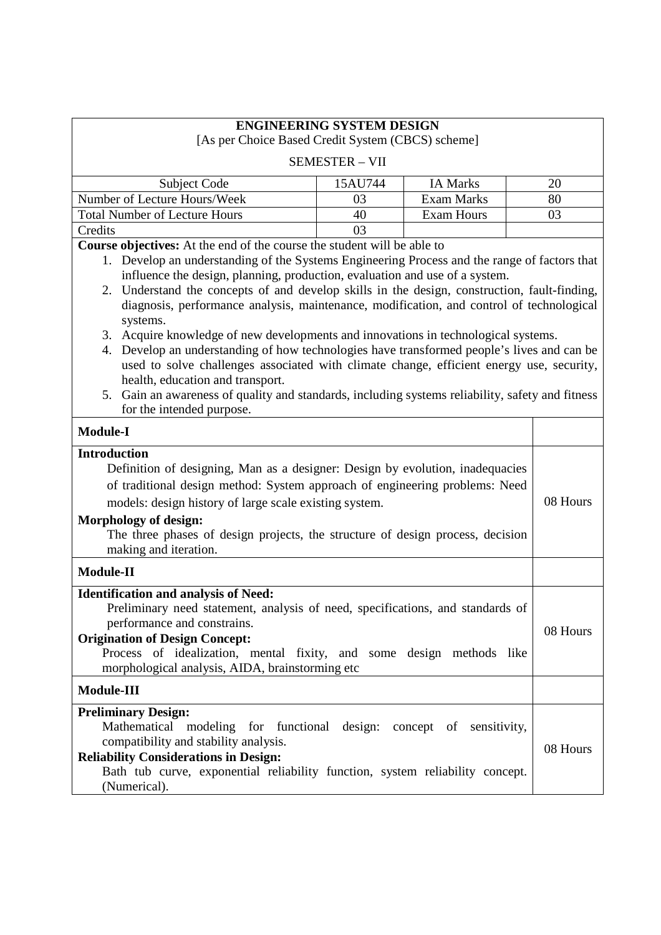| <b>ENGINEERING SYSTEM DESIGN</b><br>[As per Choice Based Credit System (CBCS) scheme]                                                                                                                                                                                                                                                                                                                                                                                                                                                                                                                                                                                                                                                                                                                                                    |                       |                   |          |
|------------------------------------------------------------------------------------------------------------------------------------------------------------------------------------------------------------------------------------------------------------------------------------------------------------------------------------------------------------------------------------------------------------------------------------------------------------------------------------------------------------------------------------------------------------------------------------------------------------------------------------------------------------------------------------------------------------------------------------------------------------------------------------------------------------------------------------------|-----------------------|-------------------|----------|
|                                                                                                                                                                                                                                                                                                                                                                                                                                                                                                                                                                                                                                                                                                                                                                                                                                          | <b>SEMESTER - VII</b> |                   |          |
| <b>Subject Code</b>                                                                                                                                                                                                                                                                                                                                                                                                                                                                                                                                                                                                                                                                                                                                                                                                                      | 15AU744               | <b>IA Marks</b>   | 20       |
| Number of Lecture Hours/Week                                                                                                                                                                                                                                                                                                                                                                                                                                                                                                                                                                                                                                                                                                                                                                                                             | 03                    | <b>Exam Marks</b> | 80       |
| <b>Total Number of Lecture Hours</b>                                                                                                                                                                                                                                                                                                                                                                                                                                                                                                                                                                                                                                                                                                                                                                                                     | 40                    | <b>Exam Hours</b> | 03       |
| Credits                                                                                                                                                                                                                                                                                                                                                                                                                                                                                                                                                                                                                                                                                                                                                                                                                                  | 03                    |                   |          |
| Course objectives: At the end of the course the student will be able to                                                                                                                                                                                                                                                                                                                                                                                                                                                                                                                                                                                                                                                                                                                                                                  |                       |                   |          |
| 1. Develop an understanding of the Systems Engineering Process and the range of factors that<br>influence the design, planning, production, evaluation and use of a system.<br>2. Understand the concepts of and develop skills in the design, construction, fault-finding,<br>diagnosis, performance analysis, maintenance, modification, and control of technological<br>systems.<br>3. Acquire knowledge of new developments and innovations in technological systems.<br>4. Develop an understanding of how technologies have transformed people's lives and can be<br>used to solve challenges associated with climate change, efficient energy use, security,<br>health, education and transport.<br>5. Gain an awareness of quality and standards, including systems reliability, safety and fitness<br>for the intended purpose. |                       |                   |          |
| <b>Module-I</b>                                                                                                                                                                                                                                                                                                                                                                                                                                                                                                                                                                                                                                                                                                                                                                                                                          |                       |                   |          |
| <b>Introduction</b><br>Definition of designing, Man as a designer: Design by evolution, inadequacies<br>of traditional design method: System approach of engineering problems: Need<br>models: design history of large scale existing system.<br><b>Morphology of design:</b><br>The three phases of design projects, the structure of design process, decision<br>making and iteration.                                                                                                                                                                                                                                                                                                                                                                                                                                                 |                       |                   | 08 Hours |
| <b>Module-II</b>                                                                                                                                                                                                                                                                                                                                                                                                                                                                                                                                                                                                                                                                                                                                                                                                                         |                       |                   |          |
| <b>Identification and analysis of Need:</b><br>Preliminary need statement, analysis of need, specifications, and standards of<br>performance and constrains.<br><b>Origination of Design Concept:</b><br>Process of idealization, mental fixity, and some design methods like<br>morphological analysis, AIDA, brainstorming etc                                                                                                                                                                                                                                                                                                                                                                                                                                                                                                         |                       |                   | 08 Hours |
| <b>Module-III</b>                                                                                                                                                                                                                                                                                                                                                                                                                                                                                                                                                                                                                                                                                                                                                                                                                        |                       |                   |          |
| <b>Preliminary Design:</b><br>Mathematical modeling for functional design: concept of sensitivity,<br>compatibility and stability analysis.<br><b>Reliability Considerations in Design:</b><br>Bath tub curve, exponential reliability function, system reliability concept.<br>(Numerical).                                                                                                                                                                                                                                                                                                                                                                                                                                                                                                                                             |                       |                   | 08 Hours |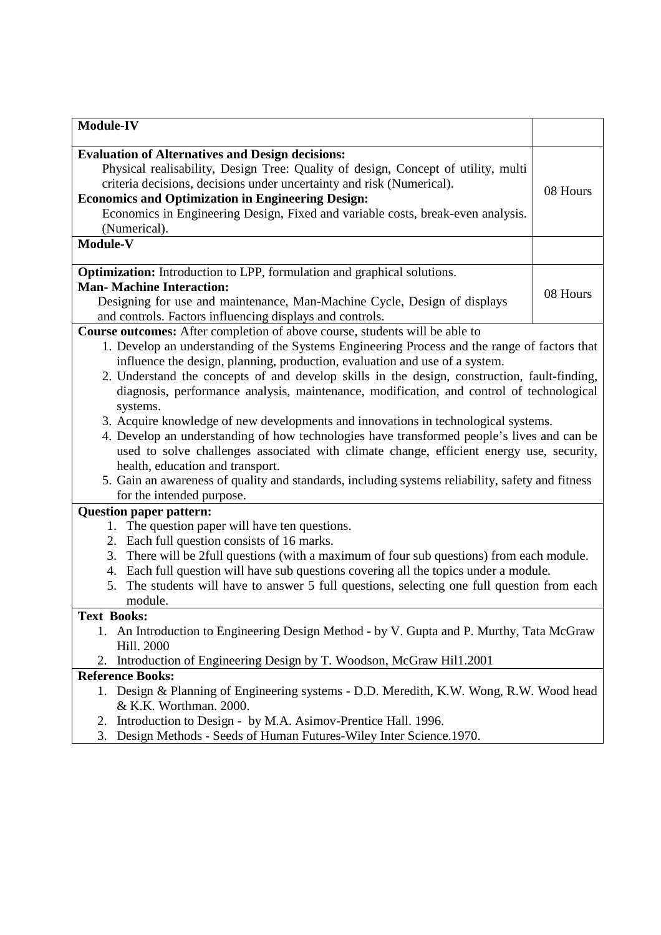| <b>Module-IV</b>                                                                                                  |          |
|-------------------------------------------------------------------------------------------------------------------|----------|
| <b>Evaluation of Alternatives and Design decisions:</b>                                                           |          |
| Physical realisability, Design Tree: Quality of design, Concept of utility, multi                                 |          |
| criteria decisions, decisions under uncertainty and risk (Numerical).                                             |          |
| <b>Economics and Optimization in Engineering Design:</b>                                                          | 08 Hours |
| Economics in Engineering Design, Fixed and variable costs, break-even analysis.                                   |          |
| (Numerical).                                                                                                      |          |
| Module-V                                                                                                          |          |
| <b>Optimization:</b> Introduction to LPP, formulation and graphical solutions.                                    |          |
| <b>Man- Machine Interaction:</b>                                                                                  |          |
| Designing for use and maintenance, Man-Machine Cycle, Design of displays                                          | 08 Hours |
| and controls. Factors influencing displays and controls.                                                          |          |
| Course outcomes: After completion of above course, students will be able to                                       |          |
| 1. Develop an understanding of the Systems Engineering Process and the range of factors that                      |          |
| influence the design, planning, production, evaluation and use of a system.                                       |          |
| 2. Understand the concepts of and develop skills in the design, construction, fault-finding,                      |          |
| diagnosis, performance analysis, maintenance, modification, and control of technological                          |          |
| systems.                                                                                                          |          |
| 3. Acquire knowledge of new developments and innovations in technological systems.                                |          |
| 4. Develop an understanding of how technologies have transformed people's lives and can be                        |          |
| used to solve challenges associated with climate change, efficient energy use, security,                          |          |
| health, education and transport.                                                                                  |          |
| 5. Gain an awareness of quality and standards, including systems reliability, safety and fitness                  |          |
| for the intended purpose.                                                                                         |          |
| <b>Question paper pattern:</b>                                                                                    |          |
| 1. The question paper will have ten questions.                                                                    |          |
| 2. Each full question consists of 16 marks.                                                                       |          |
| 3. There will be 2full questions (with a maximum of four sub questions) from each module.                         |          |
| 4. Each full question will have sub questions covering all the topics under a module.                             |          |
| The students will have to answer 5 full questions, selecting one full question from each<br>5.                    |          |
| module.                                                                                                           |          |
| <b>Text Books:</b>                                                                                                |          |
| 1. An Introduction to Engineering Design Method - by V. Gupta and P. Murthy, Tata McGraw                          |          |
| Hill. 2000                                                                                                        |          |
| 2. Introduction of Engineering Design by T. Woodson, McGraw Hil1.2001                                             |          |
| <b>Reference Books:</b><br>1. Design & Planning of Engineering systems - D.D. Meredith, K.W. Wong, R.W. Wood head |          |
| & K.K. Worthman. 2000.                                                                                            |          |
| Introduction to Design - by M.A. Asimov-Prentice Hall. 1996.<br>2.                                                |          |
| Design Methods - Seeds of Human Futures-Wiley Inter Science.1970.<br>3.                                           |          |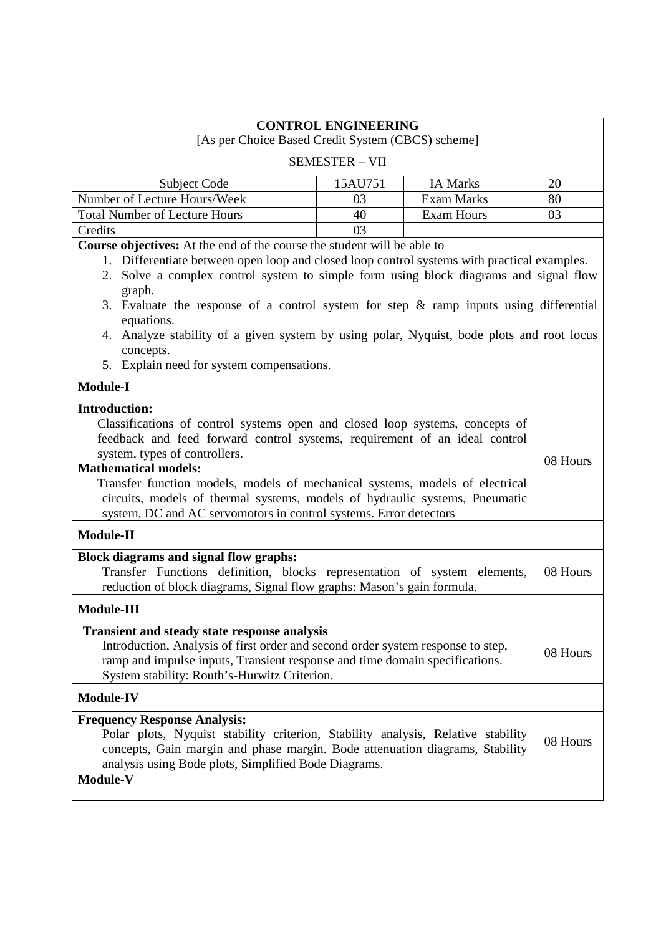|                                                                                                                                                                                                                                                                                                                                                                                                                                                                                                                                             | [As per Choice Based Credit System (CBCS) scheme]                                                                                                                                                                                                                     | <b>CONTROL ENGINEERING</b> |                   |  |          |
|---------------------------------------------------------------------------------------------------------------------------------------------------------------------------------------------------------------------------------------------------------------------------------------------------------------------------------------------------------------------------------------------------------------------------------------------------------------------------------------------------------------------------------------------|-----------------------------------------------------------------------------------------------------------------------------------------------------------------------------------------------------------------------------------------------------------------------|----------------------------|-------------------|--|----------|
|                                                                                                                                                                                                                                                                                                                                                                                                                                                                                                                                             |                                                                                                                                                                                                                                                                       | <b>SEMESTER - VII</b>      |                   |  |          |
|                                                                                                                                                                                                                                                                                                                                                                                                                                                                                                                                             | <b>Subject Code</b>                                                                                                                                                                                                                                                   | 15AU751                    | <b>IA Marks</b>   |  | 20       |
|                                                                                                                                                                                                                                                                                                                                                                                                                                                                                                                                             | Number of Lecture Hours/Week                                                                                                                                                                                                                                          | 03                         | <b>Exam Marks</b> |  | 80       |
|                                                                                                                                                                                                                                                                                                                                                                                                                                                                                                                                             | <b>Total Number of Lecture Hours</b>                                                                                                                                                                                                                                  | 40                         | <b>Exam Hours</b> |  | 03       |
| Credits                                                                                                                                                                                                                                                                                                                                                                                                                                                                                                                                     |                                                                                                                                                                                                                                                                       | 03                         |                   |  |          |
| Course objectives: At the end of the course the student will be able to<br>1. Differentiate between open loop and closed loop control systems with practical examples.<br>2. Solve a complex control system to simple form using block diagrams and signal flow<br>graph.<br>3. Evaluate the response of a control system for step $\&$ ramp inputs using differential<br>equations.<br>4. Analyze stability of a given system by using polar, Nyquist, bode plots and root locus<br>concepts.<br>5. Explain need for system compensations. |                                                                                                                                                                                                                                                                       |                            |                   |  |          |
| <b>Module-I</b>                                                                                                                                                                                                                                                                                                                                                                                                                                                                                                                             |                                                                                                                                                                                                                                                                       |                            |                   |  |          |
| <b>Introduction:</b><br>Classifications of control systems open and closed loop systems, concepts of<br>feedback and feed forward control systems, requirement of an ideal control<br>system, types of controllers.<br><b>Mathematical models:</b><br>Transfer function models, models of mechanical systems, models of electrical<br>circuits, models of thermal systems, models of hydraulic systems, Pneumatic<br>system, DC and AC servomotors in control systems. Error detectors                                                      |                                                                                                                                                                                                                                                                       |                            | 08 Hours          |  |          |
| Module-II                                                                                                                                                                                                                                                                                                                                                                                                                                                                                                                                   |                                                                                                                                                                                                                                                                       |                            |                   |  |          |
| Block diagrams and signal flow graphs:<br>Transfer Functions definition, blocks representation of system elements,<br>reduction of block diagrams, Signal flow graphs: Mason's gain formula.                                                                                                                                                                                                                                                                                                                                                |                                                                                                                                                                                                                                                                       |                            | 08 Hours          |  |          |
| <b>Module-III</b>                                                                                                                                                                                                                                                                                                                                                                                                                                                                                                                           |                                                                                                                                                                                                                                                                       |                            |                   |  |          |
|                                                                                                                                                                                                                                                                                                                                                                                                                                                                                                                                             | <b>Transient and steady state response analysis</b><br>Introduction, Analysis of first order and second order system response to step,<br>ramp and impulse inputs, Transient response and time domain specifications.<br>System stability: Routh's-Hurwitz Criterion. |                            |                   |  | 08 Hours |
| <b>Module-IV</b>                                                                                                                                                                                                                                                                                                                                                                                                                                                                                                                            |                                                                                                                                                                                                                                                                       |                            |                   |  |          |
|                                                                                                                                                                                                                                                                                                                                                                                                                                                                                                                                             | <b>Frequency Response Analysis:</b><br>Polar plots, Nyquist stability criterion, Stability analysis, Relative stability<br>concepts, Gain margin and phase margin. Bode attenuation diagrams, Stability<br>analysis using Bode plots, Simplified Bode Diagrams.       |                            |                   |  | 08 Hours |
| Module-V                                                                                                                                                                                                                                                                                                                                                                                                                                                                                                                                    |                                                                                                                                                                                                                                                                       |                            |                   |  |          |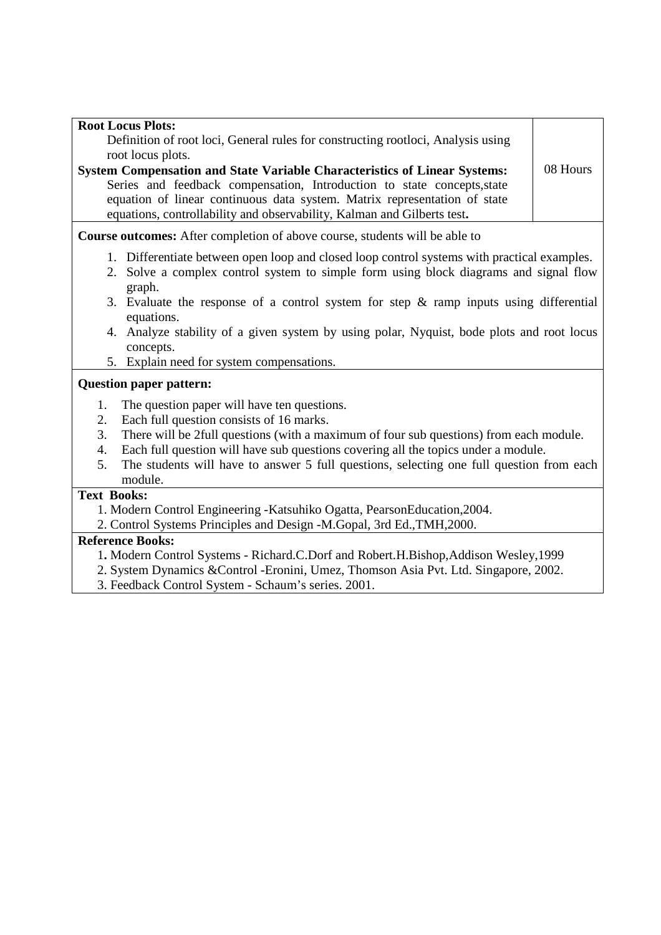| <b>Root Locus Plots:</b>                                                                                                                                                                                                        |          |  |
|---------------------------------------------------------------------------------------------------------------------------------------------------------------------------------------------------------------------------------|----------|--|
| Definition of root loci, General rules for constructing rootloci, Analysis using                                                                                                                                                |          |  |
| root locus plots.                                                                                                                                                                                                               |          |  |
| System Compensation and State Variable Characteristics of Linear Systems:                                                                                                                                                       | 08 Hours |  |
| Series and feedback compensation, Introduction to state concepts, state<br>equation of linear continuous data system. Matrix representation of state<br>equations, controllability and observability, Kalman and Gilberts test. |          |  |
| <b>Course outcomes:</b> After completion of above course, students will be able to                                                                                                                                              |          |  |
| 1. Differentiate between open loop and closed loop control systems with practical examples.                                                                                                                                     |          |  |
| 2. Solve a complex control system to simple form using block diagrams and signal flow<br>graph.                                                                                                                                 |          |  |
| 3. Evaluate the response of a control system for step $\&$ ramp inputs using differential<br>equations.                                                                                                                         |          |  |
| 4. Analyze stability of a given system by using polar, Nyquist, bode plots and root locus<br>concepts.                                                                                                                          |          |  |
| 5. Explain need for system compensations.                                                                                                                                                                                       |          |  |
| <b>Question paper pattern:</b>                                                                                                                                                                                                  |          |  |
| The question paper will have ten questions.<br>1.                                                                                                                                                                               |          |  |
| Each full question consists of 16 marks.<br>2.                                                                                                                                                                                  |          |  |
| There will be 2full questions (with a maximum of four sub questions) from each module.<br>3.                                                                                                                                    |          |  |
| Each full question will have sub questions covering all the topics under a module.<br>4.                                                                                                                                        |          |  |
| The students will have to answer 5 full questions, selecting one full question from each<br>5.                                                                                                                                  |          |  |
| module.                                                                                                                                                                                                                         |          |  |
| <b>Text Books:</b>                                                                                                                                                                                                              |          |  |
| 1. Modern Control Engineering - Katsuhiko Ogatta, PearsonEducation, 2004.                                                                                                                                                       |          |  |
| 2. Control Systems Principles and Design -M.Gopal, 3rd Ed., TMH, 2000.                                                                                                                                                          |          |  |
| <b>Reference Books:</b>                                                                                                                                                                                                         |          |  |

- 1**.** Modern Control Systems Richard.C.Dorf and Robert.H.Bishop,Addison Wesley,1999
- 2. System Dynamics &Control -Eronini, Umez, Thomson Asia Pvt. Ltd. Singapore, 2002.
- 3. Feedback Control System Schaum's series. 2001.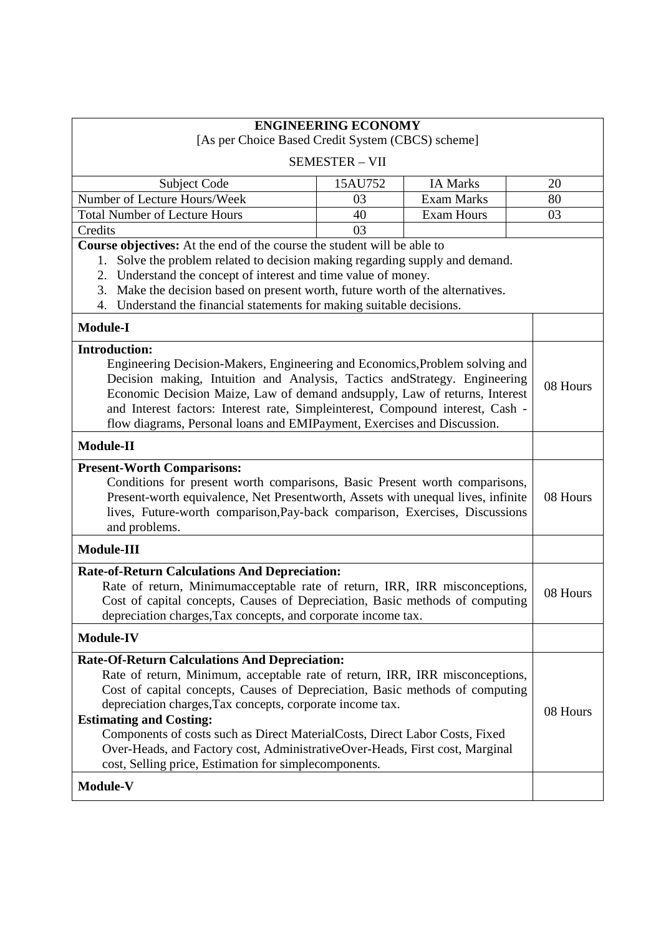|                                                                                                                                                                                                                                                                                                                                                                                                                                                                                                                                             | <b>ENGINEERING ECONOMY</b> |                   |  |          |
|---------------------------------------------------------------------------------------------------------------------------------------------------------------------------------------------------------------------------------------------------------------------------------------------------------------------------------------------------------------------------------------------------------------------------------------------------------------------------------------------------------------------------------------------|----------------------------|-------------------|--|----------|
| [As per Choice Based Credit System (CBCS) scheme]                                                                                                                                                                                                                                                                                                                                                                                                                                                                                           |                            |                   |  |          |
|                                                                                                                                                                                                                                                                                                                                                                                                                                                                                                                                             | <b>SEMESTER - VII</b>      |                   |  |          |
| Subject Code                                                                                                                                                                                                                                                                                                                                                                                                                                                                                                                                | 15AU752                    | <b>IA Marks</b>   |  | 20       |
| Number of Lecture Hours/Week                                                                                                                                                                                                                                                                                                                                                                                                                                                                                                                | 03                         | <b>Exam Marks</b> |  | 80       |
| <b>Total Number of Lecture Hours</b>                                                                                                                                                                                                                                                                                                                                                                                                                                                                                                        | 40                         | <b>Exam Hours</b> |  | 03       |
| Credits                                                                                                                                                                                                                                                                                                                                                                                                                                                                                                                                     | 03                         |                   |  |          |
| Course objectives: At the end of the course the student will be able to<br>Solve the problem related to decision making regarding supply and demand.<br>1.<br>Understand the concept of interest and time value of money.<br>2.<br>3. Make the decision based on present worth, future worth of the alternatives.<br>4. Understand the financial statements for making suitable decisions.                                                                                                                                                  |                            |                   |  |          |
| <b>Module-I</b>                                                                                                                                                                                                                                                                                                                                                                                                                                                                                                                             |                            |                   |  |          |
| <b>Introduction:</b><br>Engineering Decision-Makers, Engineering and Economics, Problem solving and<br>Decision making, Intuition and Analysis, Tactics andStrategy. Engineering<br>Economic Decision Maize, Law of demand andsupply, Law of returns, Interest<br>and Interest factors: Interest rate, Simpleinterest, Compound interest, Cash -<br>flow diagrams, Personal loans and EMIPayment, Exercises and Discussion.                                                                                                                 |                            |                   |  | 08 Hours |
| <b>Module-II</b>                                                                                                                                                                                                                                                                                                                                                                                                                                                                                                                            |                            |                   |  |          |
| <b>Present-Worth Comparisons:</b><br>Conditions for present worth comparisons, Basic Present worth comparisons,<br>Present-worth equivalence, Net Presentworth, Assets with unequal lives, infinite<br>lives, Future-worth comparison, Pay-back comparison, Exercises, Discussions<br>and problems.                                                                                                                                                                                                                                         |                            | 08 Hours          |  |          |
| Module-III                                                                                                                                                                                                                                                                                                                                                                                                                                                                                                                                  |                            |                   |  |          |
| <b>Rate-of-Return Calculations And Depreciation:</b><br>Rate of return, Minimumacceptable rate of return, IRR, IRR misconceptions,<br>Cost of capital concepts, Causes of Depreciation, Basic methods of computing<br>depreciation charges, Tax concepts, and corporate income tax.                                                                                                                                                                                                                                                         |                            |                   |  | 08 Hours |
| <b>Module-IV</b>                                                                                                                                                                                                                                                                                                                                                                                                                                                                                                                            |                            |                   |  |          |
| <b>Rate-Of-Return Calculations And Depreciation:</b><br>Rate of return, Minimum, acceptable rate of return, IRR, IRR misconceptions,<br>Cost of capital concepts, Causes of Depreciation, Basic methods of computing<br>depreciation charges, Tax concepts, corporate income tax.<br><b>Estimating and Costing:</b><br>Components of costs such as Direct MaterialCosts, Direct Labor Costs, Fixed<br>Over-Heads, and Factory cost, AdministrativeOver-Heads, First cost, Marginal<br>cost, Selling price, Estimation for simplecomponents. |                            |                   |  | 08 Hours |
| <b>Module-V</b>                                                                                                                                                                                                                                                                                                                                                                                                                                                                                                                             |                            |                   |  |          |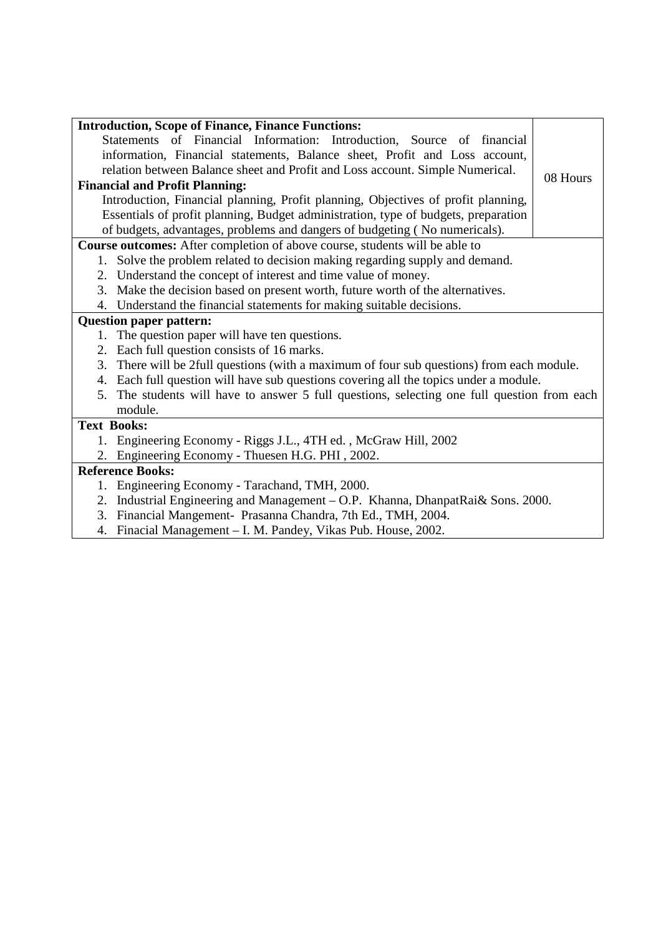| <b>Introduction, Scope of Finance, Finance Functions:</b>                                      |          |
|------------------------------------------------------------------------------------------------|----------|
| Statements of Financial Information: Introduction, Source of financial                         |          |
| information, Financial statements, Balance sheet, Profit and Loss account,                     |          |
| relation between Balance sheet and Profit and Loss account. Simple Numerical.                  | 08 Hours |
| <b>Financial and Profit Planning:</b>                                                          |          |
| Introduction, Financial planning, Profit planning, Objectives of profit planning,              |          |
| Essentials of profit planning, Budget administration, type of budgets, preparation             |          |
| of budgets, advantages, problems and dangers of budgeting (No numericals).                     |          |
| Course outcomes: After completion of above course, students will be able to                    |          |
| 1. Solve the problem related to decision making regarding supply and demand.                   |          |
| 2. Understand the concept of interest and time value of money.                                 |          |
| Make the decision based on present worth, future worth of the alternatives.<br>3.              |          |
| 4. Understand the financial statements for making suitable decisions.                          |          |
| <b>Question paper pattern:</b>                                                                 |          |
| The question paper will have ten questions.<br>1.                                              |          |
| Each full question consists of 16 marks.<br>2.                                                 |          |
| 3.<br>There will be 2full questions (with a maximum of four sub questions) from each module.   |          |
| Each full question will have sub questions covering all the topics under a module.<br>4.       |          |
| The students will have to answer 5 full questions, selecting one full question from each<br>5. |          |
| module.                                                                                        |          |
| <b>Text Books:</b>                                                                             |          |
| 1. Engineering Economy - Riggs J.L., 4TH ed., McGraw Hill, 2002                                |          |
| Engineering Economy - Thuesen H.G. PHI, 2002.<br>2.                                            |          |
| <b>Reference Books:</b>                                                                        |          |
| Engineering Economy - Tarachand, TMH, 2000.<br>1.                                              |          |
| Industrial Engineering and Management - O.P. Khanna, DhanpatRai& Sons. 2000.<br>2.             |          |
| Financial Mangement- Prasanna Chandra, 7th Ed., TMH, 2004.<br>3.                               |          |
| Finacial Management - I. M. Pandey, Vikas Pub. House, 2002.<br>4.                              |          |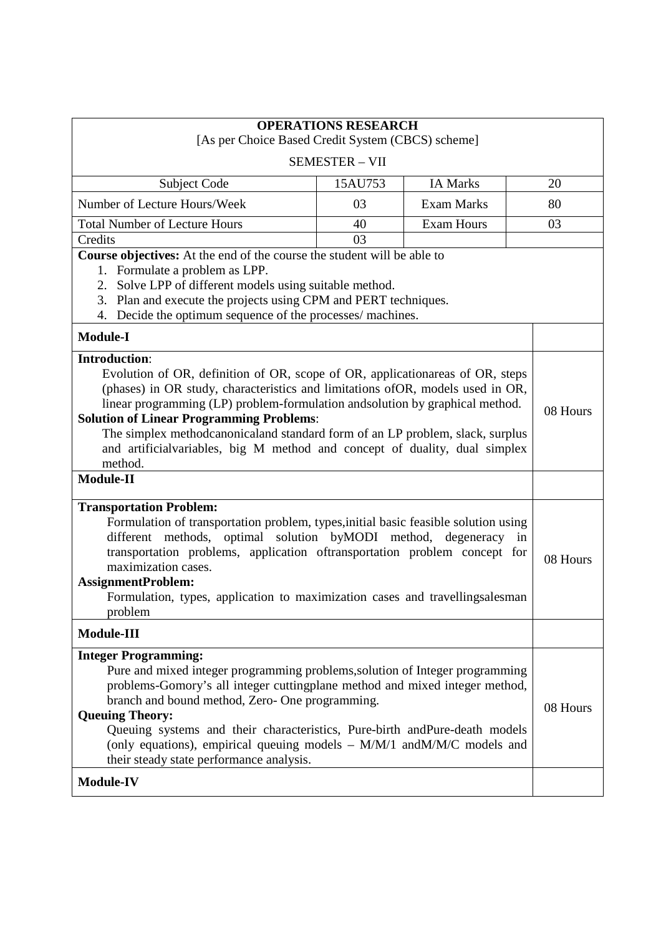| [As per Choice Based Credit System (CBCS) scheme]                                                                                                                                                                                                                                                                                                                                                                                                                                                       | <b>OPERATIONS RESEARCH</b> |                   |          |
|---------------------------------------------------------------------------------------------------------------------------------------------------------------------------------------------------------------------------------------------------------------------------------------------------------------------------------------------------------------------------------------------------------------------------------------------------------------------------------------------------------|----------------------------|-------------------|----------|
|                                                                                                                                                                                                                                                                                                                                                                                                                                                                                                         | <b>SEMESTER - VII</b>      |                   |          |
| Subject Code                                                                                                                                                                                                                                                                                                                                                                                                                                                                                            | 15AU753                    | <b>IA Marks</b>   | 20       |
| Number of Lecture Hours/Week                                                                                                                                                                                                                                                                                                                                                                                                                                                                            | 03                         | <b>Exam Marks</b> | 80       |
| <b>Total Number of Lecture Hours</b>                                                                                                                                                                                                                                                                                                                                                                                                                                                                    | 40                         | <b>Exam Hours</b> | 03       |
| Credits                                                                                                                                                                                                                                                                                                                                                                                                                                                                                                 | 03                         |                   |          |
| Course objectives: At the end of the course the student will be able to<br>1. Formulate a problem as LPP.<br>2. Solve LPP of different models using suitable method.<br>Plan and execute the projects using CPM and PERT techniques.<br>3.<br>Decide the optimum sequence of the processes/ machines.<br>4.                                                                                                                                                                                             |                            |                   |          |
| <b>Module-I</b>                                                                                                                                                                                                                                                                                                                                                                                                                                                                                         |                            |                   |          |
| <b>Introduction:</b><br>Evolution of OR, definition of OR, scope of OR, applicationareas of OR, steps<br>(phases) in OR study, characteristics and limitations of OR, models used in OR,<br>linear programming (LP) problem-formulation and solution by graphical method.<br><b>Solution of Linear Programming Problems:</b><br>The simplex methodcanonicaland standard form of an LP problem, slack, surplus<br>and artificial variables, big M method and concept of duality, dual simplex<br>method. |                            |                   | 08 Hours |
| <b>Module-II</b>                                                                                                                                                                                                                                                                                                                                                                                                                                                                                        |                            |                   |          |
| <b>Transportation Problem:</b><br>Formulation of transportation problem, types, initial basic feasible solution using<br>different methods, optimal solution byMODI method, degeneracy in<br>transportation problems, application oftransportation problem concept for<br>maximization cases.<br><b>AssignmentProblem:</b><br>Formulation, types, application to maximization cases and travellingsalesman<br>problem                                                                                   |                            |                   | 08 Hours |
| Module-III                                                                                                                                                                                                                                                                                                                                                                                                                                                                                              |                            |                   |          |
| <b>Integer Programming:</b><br>Pure and mixed integer programming problems, solution of Integer programming<br>problems-Gomory's all integer cuttingplane method and mixed integer method,<br>branch and bound method, Zero- One programming.<br><b>Queuing Theory:</b><br>Queuing systems and their characteristics, Pure-birth andPure-death models<br>(only equations), empirical queuing models $- M/M/1$ and $M/M/C$ models and<br>their steady state performance analysis.<br><b>Module-IV</b>    |                            |                   | 08 Hours |
|                                                                                                                                                                                                                                                                                                                                                                                                                                                                                                         |                            |                   |          |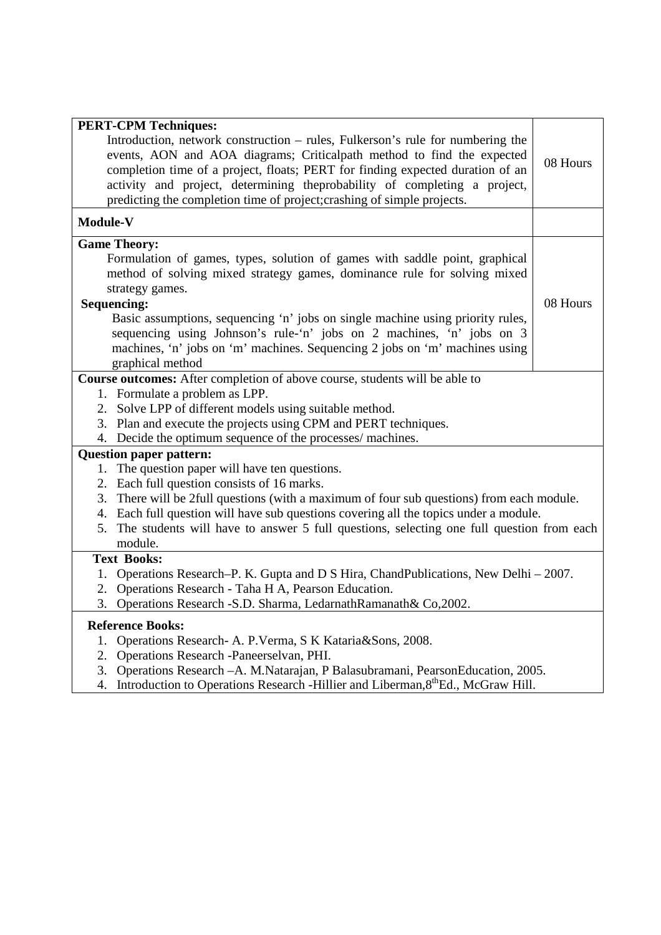| <b>PERT-CPM Techniques:</b>                                                                     |          |
|-------------------------------------------------------------------------------------------------|----------|
| Introduction, network construction - rules, Fulkerson's rule for numbering the                  |          |
| events, AON and AOA diagrams; Criticalpath method to find the expected                          | 08 Hours |
| completion time of a project, floats; PERT for finding expected duration of an                  |          |
| activity and project, determining theprobability of completing a project,                       |          |
| predicting the completion time of project; crashing of simple projects.                         |          |
| Module-V                                                                                        |          |
| <b>Game Theory:</b>                                                                             |          |
| Formulation of games, types, solution of games with saddle point, graphical                     |          |
| method of solving mixed strategy games, dominance rule for solving mixed                        |          |
| strategy games.                                                                                 |          |
| <b>Sequencing:</b>                                                                              | 08 Hours |
| Basic assumptions, sequencing 'n' jobs on single machine using priority rules,                  |          |
| sequencing using Johnson's rule-'n' jobs on 2 machines, 'n' jobs on 3                           |          |
| machines, 'n' jobs on 'm' machines. Sequencing 2 jobs on 'm' machines using<br>graphical method |          |
| Course outcomes: After completion of above course, students will be able to                     |          |
| 1. Formulate a problem as LPP.                                                                  |          |
| 2. Solve LPP of different models using suitable method.                                         |          |
| 3. Plan and execute the projects using CPM and PERT techniques.                                 |          |
| 4. Decide the optimum sequence of the processes/ machines.                                      |          |
| <b>Question paper pattern:</b>                                                                  |          |
| 1. The question paper will have ten questions.                                                  |          |
| 2. Each full question consists of 16 marks.                                                     |          |
| 3. There will be 2full questions (with a maximum of four sub questions) from each module.       |          |
| 4. Each full question will have sub questions covering all the topics under a module.           |          |
| 5. The students will have to answer 5 full questions, selecting one full question from each     |          |
| module.                                                                                         |          |
| <b>Text Books:</b>                                                                              |          |
| Operations Research–P. K. Gupta and D S Hira, ChandPublications, New Delhi – 2007.<br>1.        |          |
| Operations Research - Taha H A, Pearson Education.<br>2.                                        |          |
| 3. Operations Research - S.D. Sharma, Ledarnath Ramanath & Co, 2002.                            |          |
| <b>Reference Books:</b>                                                                         |          |
| Operations Research- A. P. Verma, S K Kataria&Sons, 2008.<br>1.                                 |          |
| 2. Operations Research -Paneerselvan, PHI.                                                      |          |
| 3. Operations Research - A. M. Natarajan, P Balasubramani, Pearson Education, 2005.             |          |
| 4. Introduction to Operations Research -Hillier and Liberman, 8 <sup>th</sup> Ed., McGraw Hill. |          |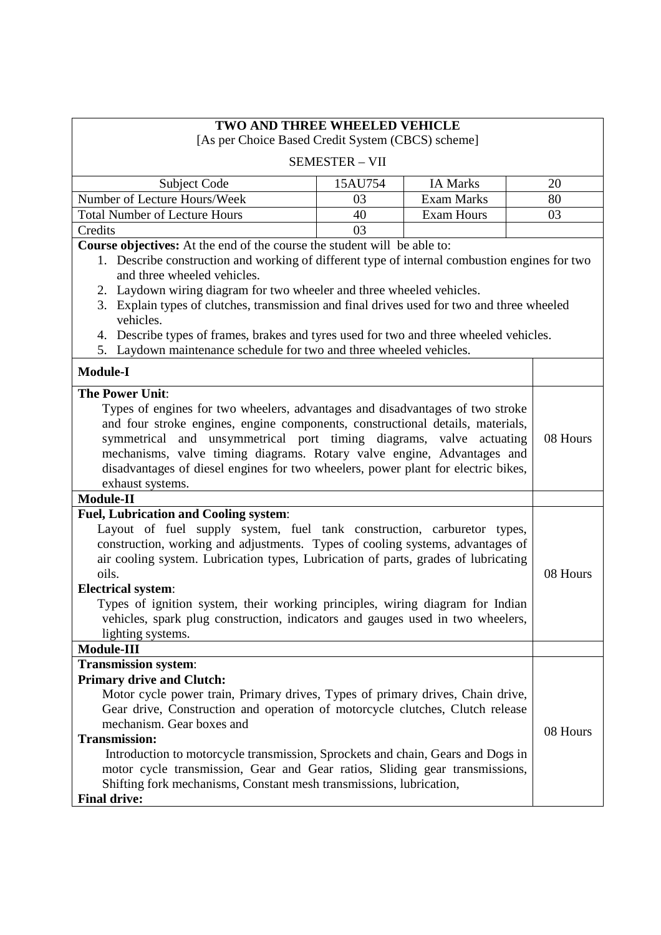| <b>TWO AND THREE WHEELED VEHICLE</b><br>[As per Choice Based Credit System (CBCS) scheme]                                                                                                                                                                                                                                                                                                                                                                                                                                                                     |                       |                   |          |
|---------------------------------------------------------------------------------------------------------------------------------------------------------------------------------------------------------------------------------------------------------------------------------------------------------------------------------------------------------------------------------------------------------------------------------------------------------------------------------------------------------------------------------------------------------------|-----------------------|-------------------|----------|
|                                                                                                                                                                                                                                                                                                                                                                                                                                                                                                                                                               | <b>SEMESTER - VII</b> |                   |          |
| <b>Subject Code</b>                                                                                                                                                                                                                                                                                                                                                                                                                                                                                                                                           | 15AU754               | <b>IA Marks</b>   | 20       |
| Number of Lecture Hours/Week                                                                                                                                                                                                                                                                                                                                                                                                                                                                                                                                  | 03                    | <b>Exam Marks</b> | 80       |
| <b>Total Number of Lecture Hours</b>                                                                                                                                                                                                                                                                                                                                                                                                                                                                                                                          | 40                    | <b>Exam Hours</b> | 03       |
| Credits                                                                                                                                                                                                                                                                                                                                                                                                                                                                                                                                                       | 03                    |                   |          |
| Course objectives: At the end of the course the student will be able to:<br>1. Describe construction and working of different type of internal combustion engines for two<br>and three wheeled vehicles.<br>2. Laydown wiring diagram for two wheeler and three wheeled vehicles.<br>3. Explain types of clutches, transmission and final drives used for two and three wheeled<br>vehicles.<br>4. Describe types of frames, brakes and tyres used for two and three wheeled vehicles.<br>5. Laydown maintenance schedule for two and three wheeled vehicles. |                       |                   |          |
| <b>Module-I</b>                                                                                                                                                                                                                                                                                                                                                                                                                                                                                                                                               |                       |                   |          |
| <b>The Power Unit:</b><br>Types of engines for two wheelers, advantages and disadvantages of two stroke<br>and four stroke engines, engine components, constructional details, materials,<br>symmetrical and unsymmetrical port timing diagrams, valve actuating<br>mechanisms, valve timing diagrams. Rotary valve engine, Advantages and<br>disadvantages of diesel engines for two wheelers, power plant for electric bikes,<br>exhaust systems.                                                                                                           |                       |                   | 08 Hours |
| Module-II                                                                                                                                                                                                                                                                                                                                                                                                                                                                                                                                                     |                       |                   |          |
| Fuel, Lubrication and Cooling system:<br>Layout of fuel supply system, fuel tank construction, carburetor types,<br>construction, working and adjustments. Types of cooling systems, advantages of<br>air cooling system. Lubrication types, Lubrication of parts, grades of lubricating<br>oils.<br><b>Electrical system:</b><br>Types of ignition system, their working principles, wiring diagram for Indian<br>vehicles, spark plug construction, indicators and gauges used in two wheelers,<br>lighting systems.                                        |                       |                   | 08 Hours |
| Module-III                                                                                                                                                                                                                                                                                                                                                                                                                                                                                                                                                    |                       |                   |          |
| <b>Transmission system:</b><br><b>Primary drive and Clutch:</b><br>Motor cycle power train, Primary drives, Types of primary drives, Chain drive,<br>Gear drive, Construction and operation of motorcycle clutches, Clutch release<br>mechanism. Gear boxes and<br><b>Transmission:</b><br>Introduction to motorcycle transmission, Sprockets and chain, Gears and Dogs in<br>motor cycle transmission, Gear and Gear ratios, Sliding gear transmissions,<br>Shifting fork mechanisms, Constant mesh transmissions, lubrication,<br><b>Final drive:</b>       |                       |                   | 08 Hours |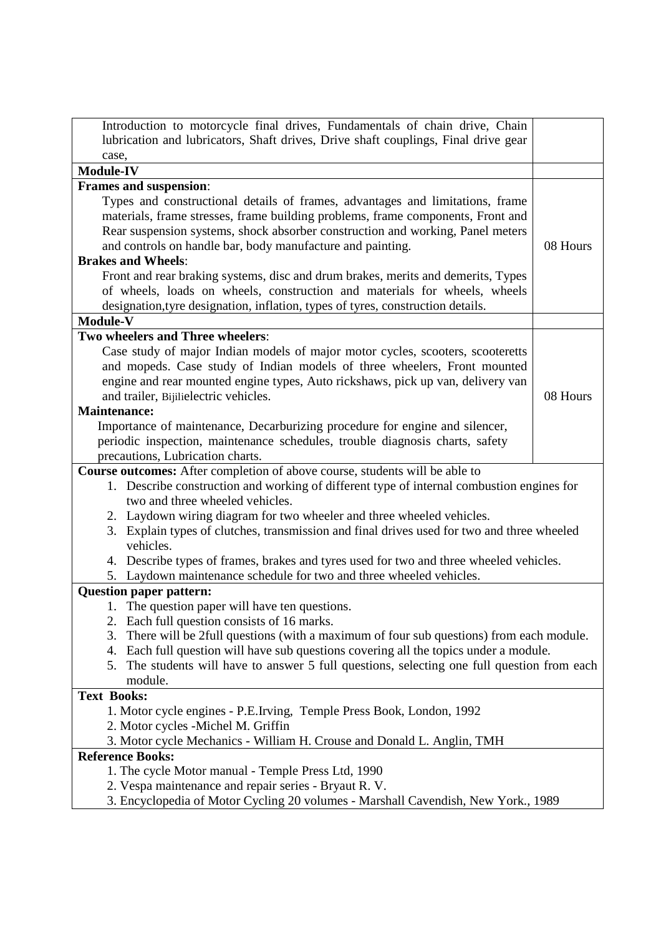| Introduction to motorcycle final drives, Fundamentals of chain drive, Chain                                                                                                                                                                                                                                                                                                                                                                                                                                                                                         |          |
|---------------------------------------------------------------------------------------------------------------------------------------------------------------------------------------------------------------------------------------------------------------------------------------------------------------------------------------------------------------------------------------------------------------------------------------------------------------------------------------------------------------------------------------------------------------------|----------|
| lubrication and lubricators, Shaft drives, Drive shaft couplings, Final drive gear                                                                                                                                                                                                                                                                                                                                                                                                                                                                                  |          |
| case,<br><b>Module-IV</b>                                                                                                                                                                                                                                                                                                                                                                                                                                                                                                                                           |          |
| Frames and suspension:                                                                                                                                                                                                                                                                                                                                                                                                                                                                                                                                              |          |
| Types and constructional details of frames, advantages and limitations, frame<br>materials, frame stresses, frame building problems, frame components, Front and<br>Rear suspension systems, shock absorber construction and working, Panel meters<br>and controls on handle bar, body manufacture and painting.<br><b>Brakes and Wheels:</b>                                                                                                                                                                                                                       | 08 Hours |
| Front and rear braking systems, disc and drum brakes, merits and demerits, Types<br>of wheels, loads on wheels, construction and materials for wheels, wheels<br>designation, tyre designation, inflation, types of tyres, construction details.                                                                                                                                                                                                                                                                                                                    |          |
| Module-V<br>Two wheelers and Three wheelers:                                                                                                                                                                                                                                                                                                                                                                                                                                                                                                                        |          |
| Case study of major Indian models of major motor cycles, scooters, scooteretts<br>and mopeds. Case study of Indian models of three wheelers, Front mounted<br>engine and rear mounted engine types, Auto rickshaws, pick up van, delivery van<br>and trailer, Bijilielectric vehicles.<br><b>Maintenance:</b><br>Importance of maintenance, Decarburizing procedure for engine and silencer,<br>periodic inspection, maintenance schedules, trouble diagnosis charts, safety                                                                                        | 08 Hours |
| precautions, Lubrication charts.                                                                                                                                                                                                                                                                                                                                                                                                                                                                                                                                    |          |
| Course outcomes: After completion of above course, students will be able to<br>1. Describe construction and working of different type of internal combustion engines for<br>two and three wheeled vehicles.<br>2. Laydown wiring diagram for two wheeler and three wheeled vehicles.<br>Explain types of clutches, transmission and final drives used for two and three wheeled<br>3.<br>vehicles.<br>4. Describe types of frames, brakes and tyres used for two and three wheeled vehicles.<br>5. Laydown maintenance schedule for two and three wheeled vehicles. |          |
| <b>Question paper pattern:</b><br>1. The question paper will have ten questions.<br>2. Each full question consists of 16 marks.<br>There will be 2full questions (with a maximum of four sub questions) from each module.<br>3.<br>Each full question will have sub questions covering all the topics under a module.<br>4.<br>The students will have to answer 5 full questions, selecting one full question from each<br>5.<br>module.                                                                                                                            |          |
| <b>Text Books:</b>                                                                                                                                                                                                                                                                                                                                                                                                                                                                                                                                                  |          |
| 1. Motor cycle engines - P.E.Irving, Temple Press Book, London, 1992<br>2. Motor cycles - Michel M. Griffin<br>3. Motor cycle Mechanics - William H. Crouse and Donald L. Anglin, TMH                                                                                                                                                                                                                                                                                                                                                                               |          |
| <b>Reference Books:</b>                                                                                                                                                                                                                                                                                                                                                                                                                                                                                                                                             |          |
| 1. The cycle Motor manual - Temple Press Ltd, 1990<br>2. Vespa maintenance and repair series - Bryaut R. V.<br>3. Encyclopedia of Motor Cycling 20 volumes - Marshall Cavendish, New York., 1989                                                                                                                                                                                                                                                                                                                                                                    |          |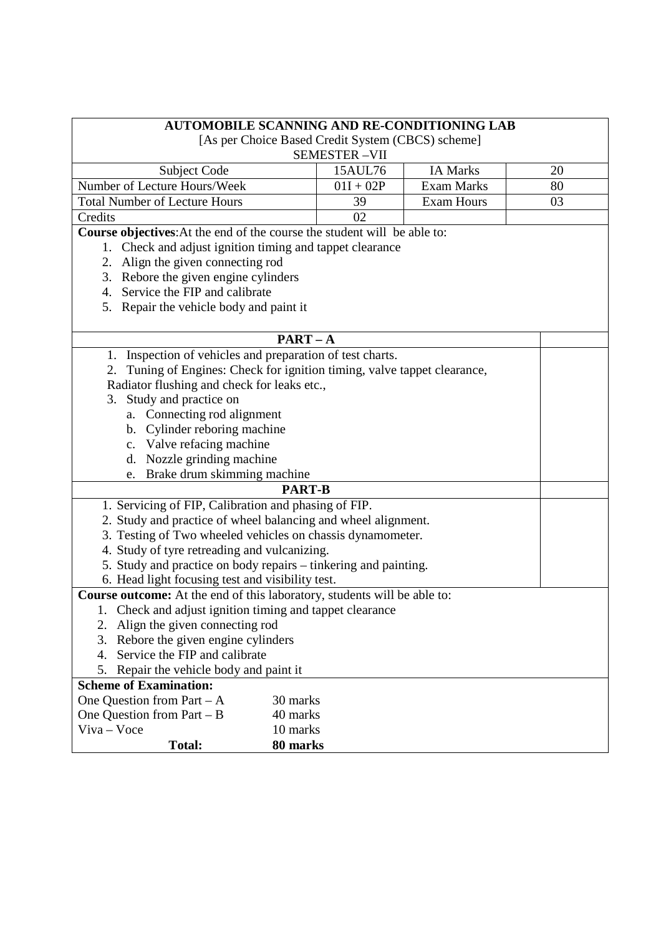| <b>AUTOMOBILE SCANNING AND RE-CONDITIONING LAB</b>                          |                                                   |                   |    |
|-----------------------------------------------------------------------------|---------------------------------------------------|-------------------|----|
|                                                                             | [As per Choice Based Credit System (CBCS) scheme] |                   |    |
|                                                                             | <b>SEMESTER-VII</b><br>15AUL76                    | IA Marks          | 20 |
| Subject Code<br>Number of Lecture Hours/Week                                | $01I + 02P$                                       | <b>Exam Marks</b> | 80 |
|                                                                             |                                                   |                   |    |
| <b>Total Number of Lecture Hours</b>                                        | 39                                                | <b>Exam Hours</b> | 03 |
| Credits                                                                     | 02                                                |                   |    |
| Course objectives: At the end of the course the student will be able to:    |                                                   |                   |    |
| Check and adjust ignition timing and tappet clearance<br>1.                 |                                                   |                   |    |
| 2. Align the given connecting rod                                           |                                                   |                   |    |
| 3. Rebore the given engine cylinders                                        |                                                   |                   |    |
| 4. Service the FIP and calibrate                                            |                                                   |                   |    |
| 5. Repair the vehicle body and paint it                                     |                                                   |                   |    |
|                                                                             | $PART - A$                                        |                   |    |
| 1. Inspection of vehicles and preparation of test charts.                   |                                                   |                   |    |
| Tuning of Engines: Check for ignition timing, valve tappet clearance,<br>2. |                                                   |                   |    |
| Radiator flushing and check for leaks etc.,                                 |                                                   |                   |    |
| 3. Study and practice on                                                    |                                                   |                   |    |
| a. Connecting rod alignment                                                 |                                                   |                   |    |
|                                                                             |                                                   |                   |    |
| b. Cylinder reboring machine                                                |                                                   |                   |    |
| c. Valve refacing machine                                                   |                                                   |                   |    |
| d. Nozzle grinding machine                                                  |                                                   |                   |    |
| Brake drum skimming machine<br>e.                                           | <b>PART-B</b>                                     |                   |    |
|                                                                             |                                                   |                   |    |
| 1. Servicing of FIP, Calibration and phasing of FIP.                        |                                                   |                   |    |
| 2. Study and practice of wheel balancing and wheel alignment.               |                                                   |                   |    |
| 3. Testing of Two wheeled vehicles on chassis dynamometer.                  |                                                   |                   |    |
| 4. Study of tyre retreading and vulcanizing.                                |                                                   |                   |    |
| 5. Study and practice on body repairs – tinkering and painting.             |                                                   |                   |    |
| 6. Head light focusing test and visibility test.                            |                                                   |                   |    |
| Course outcome: At the end of this laboratory, students will be able to:    |                                                   |                   |    |
| 1. Check and adjust ignition timing and tappet clearance                    |                                                   |                   |    |
| Align the given connecting rod<br>2.                                        |                                                   |                   |    |
| 3.<br>Rebore the given engine cylinders                                     |                                                   |                   |    |
| 4. Service the FIP and calibrate                                            |                                                   |                   |    |
| 5.<br>Repair the vehicle body and paint it                                  |                                                   |                   |    |
| <b>Scheme of Examination:</b>                                               |                                                   |                   |    |
| One Question from Part $-A$<br>30 marks                                     |                                                   |                   |    |
| One Question from Part $- B$                                                | 40 marks                                          |                   |    |
| Viva - Voce                                                                 | 10 marks                                          |                   |    |
| <b>Total:</b>                                                               | 80 marks                                          |                   |    |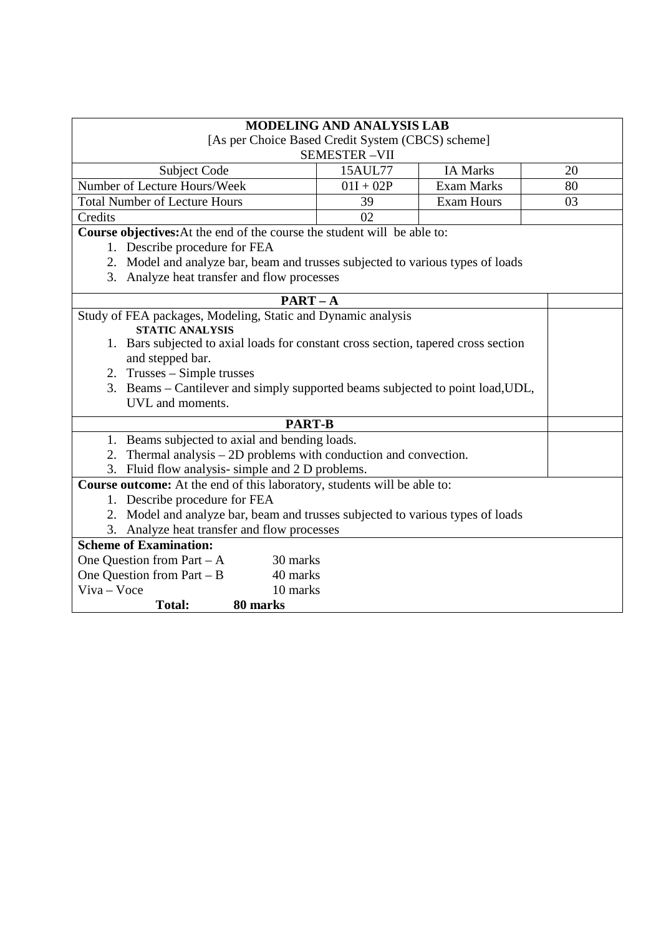| <b>MODELING AND ANALYSIS LAB</b><br>[As per Choice Based Credit System (CBCS) scheme]<br><b>SEMESTER-VII</b> |                                                                 |                   |    |  |
|--------------------------------------------------------------------------------------------------------------|-----------------------------------------------------------------|-------------------|----|--|
| Subject Code                                                                                                 | 15AUL77                                                         | <b>IA Marks</b>   | 20 |  |
| Number of Lecture Hours/Week                                                                                 | $01I + 02P$                                                     | <b>Exam Marks</b> | 80 |  |
| <b>Total Number of Lecture Hours</b>                                                                         | 39                                                              | <b>Exam Hours</b> | 03 |  |
| Credits                                                                                                      | 02                                                              |                   |    |  |
| Course objectives: At the end of the course the student will be able to:                                     |                                                                 |                   |    |  |
| 1. Describe procedure for FEA                                                                                |                                                                 |                   |    |  |
| 2. Model and analyze bar, beam and trusses subjected to various types of loads                               |                                                                 |                   |    |  |
| 3. Analyze heat transfer and flow processes                                                                  |                                                                 |                   |    |  |
| $PART - A$                                                                                                   |                                                                 |                   |    |  |
| Study of FEA packages, Modeling, Static and Dynamic analysis<br><b>STATIC ANALYSIS</b>                       |                                                                 |                   |    |  |
| 1. Bars subjected to axial loads for constant cross section, tapered cross section                           |                                                                 |                   |    |  |
| and stepped bar.                                                                                             |                                                                 |                   |    |  |
| 2. Trusses – Simple trusses                                                                                  |                                                                 |                   |    |  |
| 3. Beams – Cantilever and simply supported beams subjected to point load, UDL,                               |                                                                 |                   |    |  |
| UVL and moments.                                                                                             |                                                                 |                   |    |  |
| <b>PART-B</b>                                                                                                |                                                                 |                   |    |  |
| 1. Beams subjected to axial and bending loads.                                                               |                                                                 |                   |    |  |
| 2.                                                                                                           | Thermal analysis $-2D$ problems with conduction and convection. |                   |    |  |
| 3. Fluid flow analysis-simple and 2 D problems.                                                              |                                                                 |                   |    |  |
| <b>Course outcome:</b> At the end of this laboratory, students will be able to:                              |                                                                 |                   |    |  |
| 1. Describe procedure for FEA                                                                                |                                                                 |                   |    |  |
| 2. Model and analyze bar, beam and trusses subjected to various types of loads                               |                                                                 |                   |    |  |
| 3. Analyze heat transfer and flow processes                                                                  |                                                                 |                   |    |  |
| <b>Scheme of Examination:</b>                                                                                |                                                                 |                   |    |  |
| One Question from Part $-A$<br>30 marks                                                                      |                                                                 |                   |    |  |
| One Question from Part - B<br>40 marks                                                                       |                                                                 |                   |    |  |
| $V$ iva – Voce<br>10 marks                                                                                   |                                                                 |                   |    |  |
| 80 marks<br><b>Total:</b>                                                                                    |                                                                 |                   |    |  |